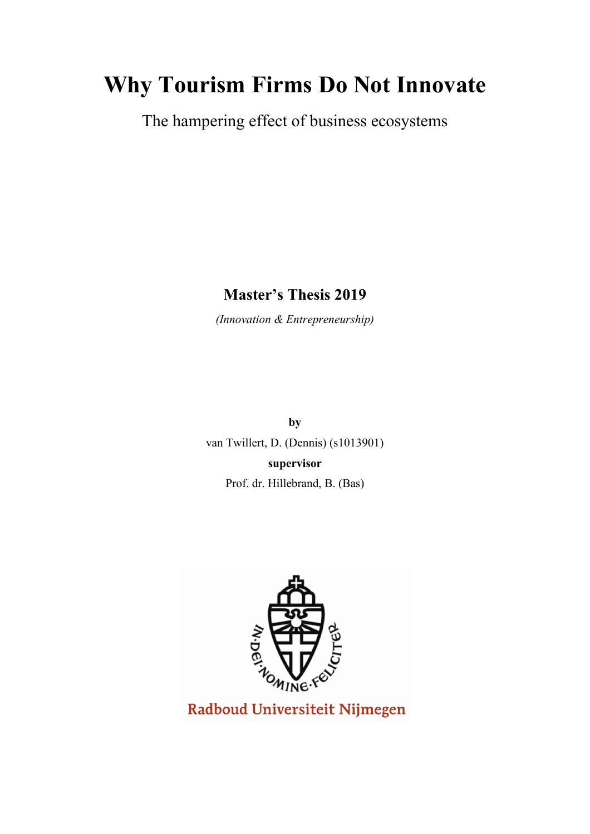# **Why Tourism Firms Do Not Innovate**

The hampering effect of business ecosystems

**Master's Thesis 2019**

*(Innovation & Entrepreneurship)*

**by** van Twillert, D. (Dennis) (s1013901) **supervisor**

Prof. dr. Hillebrand, B. (Bas)



Radboud Universiteit Nijmegen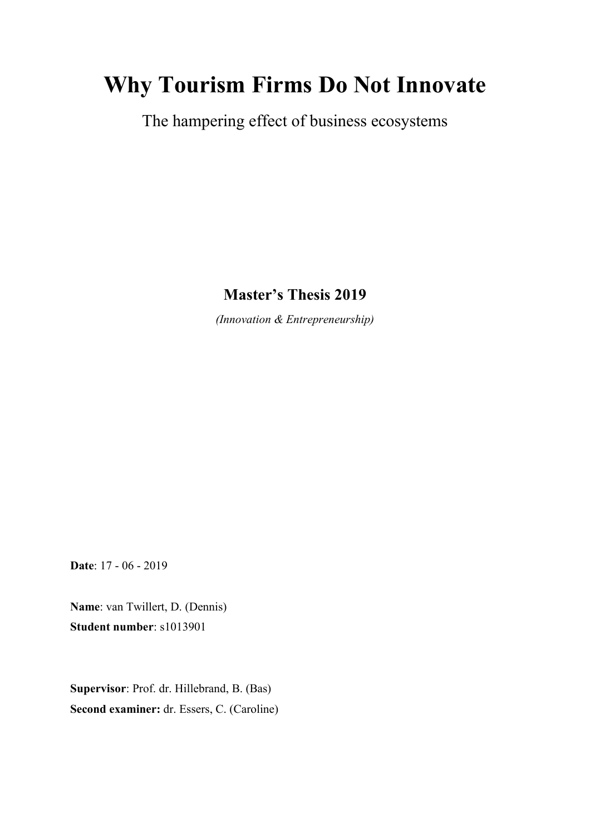# **Why Tourism Firms Do Not Innovate**

The hampering effect of business ecosystems

**Master's Thesis 2019**

*(Innovation & Entrepreneurship)*

**Date**: 17 - 06 - 2019

**Name**: van Twillert, D. (Dennis) **Student number**: s1013901

**Supervisor**: Prof. dr. Hillebrand, B. (Bas) **Second examiner:** dr. Essers, C. (Caroline)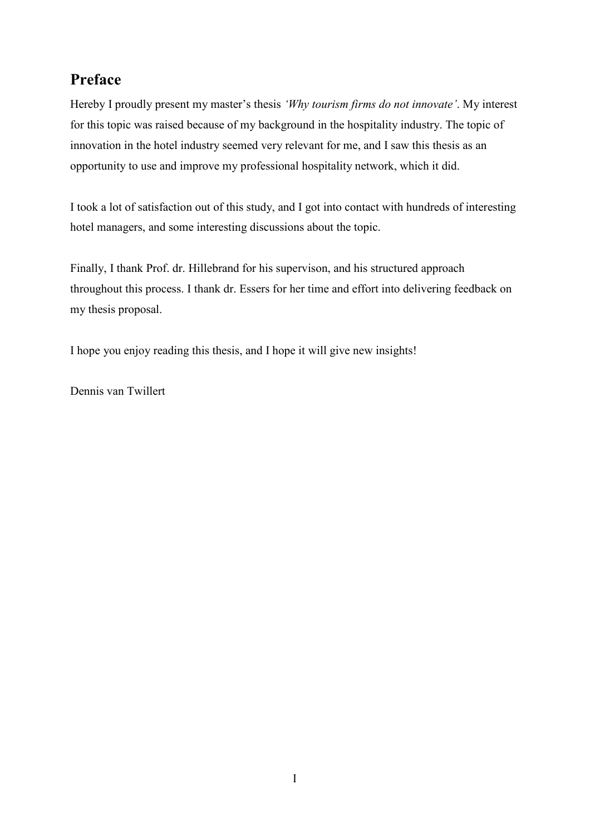# **Preface**

Hereby I proudly present my master's thesis *'Why tourism firms do not innovate'*. My interest for this topic was raised because of my background in the hospitality industry. The topic of innovation in the hotel industry seemed very relevant for me, and I saw this thesis as an opportunity to use and improve my professional hospitality network, which it did.

I took a lot of satisfaction out of this study, and I got into contact with hundreds of interesting hotel managers, and some interesting discussions about the topic.

Finally, I thank Prof. dr. Hillebrand for his supervison, and his structured approach throughout this process. I thank dr. Essers for her time and effort into delivering feedback on my thesis proposal.

I hope you enjoy reading this thesis, and I hope it will give new insights!

Dennis van Twillert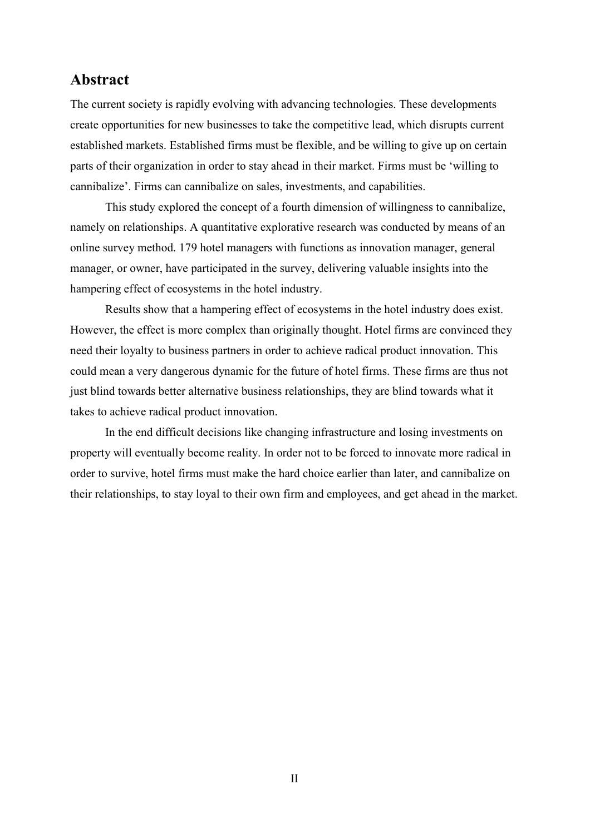### **Abstract**

The current society is rapidly evolving with advancing technologies. These developments create opportunities for new businesses to take the competitive lead, which disrupts current established markets. Established firms must be flexible, and be willing to give up on certain parts of their organization in order to stay ahead in their market. Firms must be 'willing to cannibalize'. Firms can cannibalize on sales, investments, and capabilities.

This study explored the concept of a fourth dimension of willingness to cannibalize, namely on relationships. A quantitative explorative research was conducted by means of an online survey method. 179 hotel managers with functions as innovation manager, general manager, or owner, have participated in the survey, delivering valuable insights into the hampering effect of ecosystems in the hotel industry.

Results show that a hampering effect of ecosystems in the hotel industry does exist. However, the effect is more complex than originally thought. Hotel firms are convinced they need their loyalty to business partners in order to achieve radical product innovation. This could mean a very dangerous dynamic for the future of hotel firms. These firms are thus not just blind towards better alternative business relationships, they are blind towards what it takes to achieve radical product innovation.

In the end difficult decisions like changing infrastructure and losing investments on property will eventually become reality. In order not to be forced to innovate more radical in order to survive, hotel firms must make the hard choice earlier than later, and cannibalize on their relationships, to stay loyal to their own firm and employees, and get ahead in the market.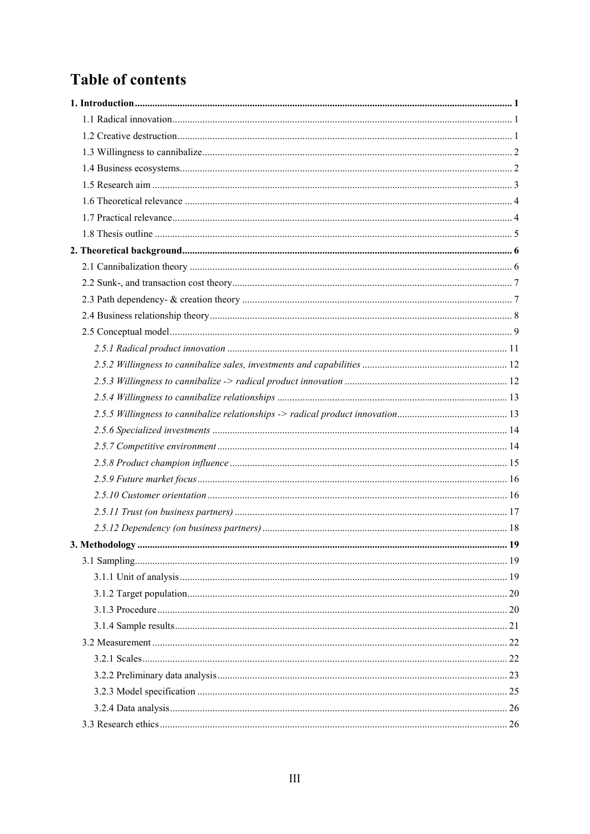# **Table of contents**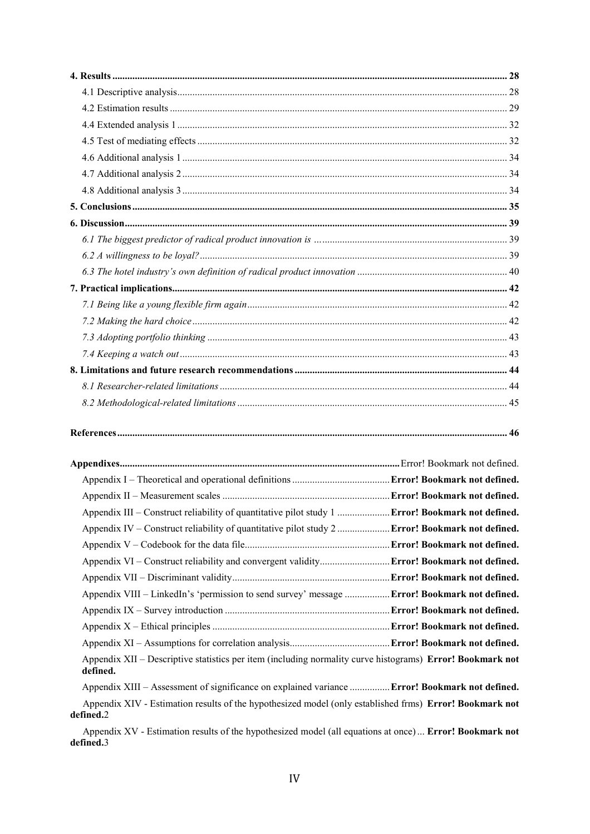| Appendix III – Construct reliability of quantitative pilot study 1  Error! Bookmark not defined.                      |  |
|-----------------------------------------------------------------------------------------------------------------------|--|
| Appendix IV – Construct reliability of quantitative pilot study 2  Error! Bookmark not defined.                       |  |
|                                                                                                                       |  |
| Appendix VI - Construct reliability and convergent validity Error! Bookmark not defined.                              |  |
|                                                                                                                       |  |
| Appendix VIII - LinkedIn's 'permission to send survey' message  Error! Bookmark not defined.                          |  |
|                                                                                                                       |  |
|                                                                                                                       |  |
|                                                                                                                       |  |
| Appendix XII - Descriptive statistics per item (including normality curve histograms) Error! Bookmark not<br>defined. |  |
| Appendix XIII - Assessment of significance on explained variance  Error! Bookmark not defined.                        |  |
| Appendix XIV - Estimation results of the hypothesized model (only established frms) Error! Bookmark not<br>defined.2  |  |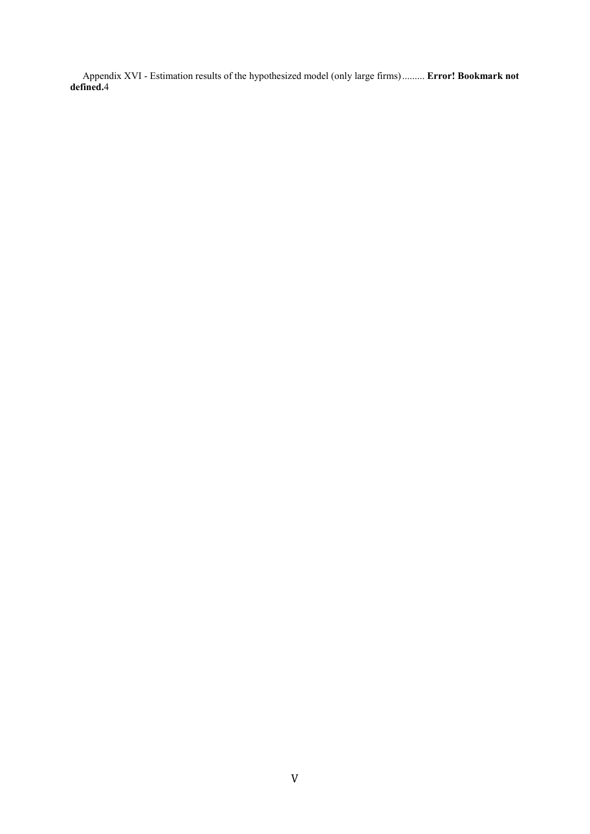Appendix XVI - Estimation results of the hypothesized model (only large firms)......... **Error! Bookmark not defined.**4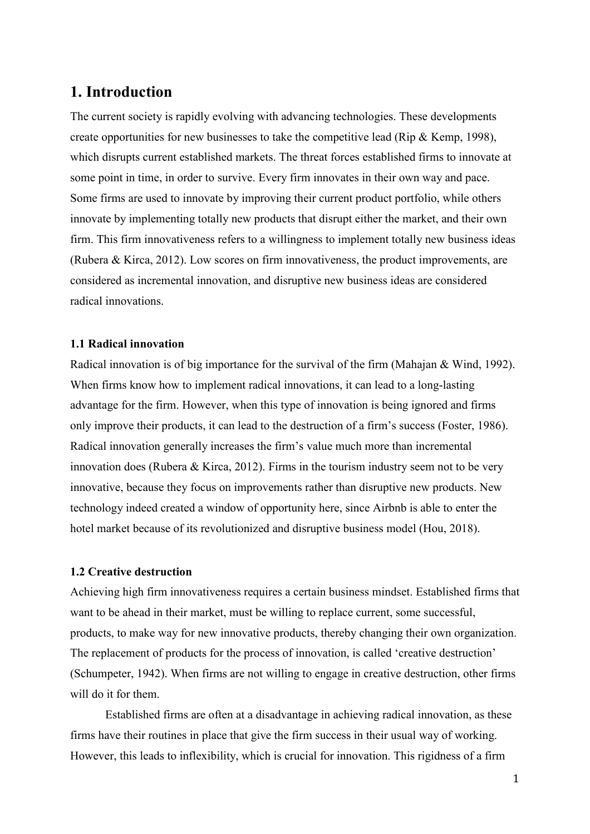# <span id="page-7-0"></span>**1. Introduction**

The current society is rapidly evolving with advancing technologies. These developments create opportunities for new businesses to take the competitive lead (Rip & Kemp, 1998), which disrupts current established markets. The threat forces established firms to innovate at some point in time, in order to survive. Every firm innovates in their own way and pace. Some firms are used to innovate by improving their current product portfolio, while others innovate by implementing totally new products that disrupt either the market, and their own firm. This firm innovativeness refers to a willingness to implement totally new business ideas (Rubera & Kirca, 2012). Low scores on firm innovativeness, the product improvements, are considered as incremental innovation, and disruptive new business ideas are considered radical innovations.

#### <span id="page-7-1"></span>**1.1 Radical innovation**

Radical innovation is of big importance for the survival of the firm (Mahajan & Wind, 1992). When firms know how to implement radical innovations, it can lead to a long-lasting advantage for the firm. However, when this type of innovation is being ignored and firms only improve their products, it can lead to the destruction of a firm's success (Foster, 1986). Radical innovation generally increases the firm's value much more than incremental innovation does (Rubera  $\&$  Kirca, 2012). Firms in the tourism industry seem not to be very innovative, because they focus on improvements rather than disruptive new products. New technology indeed created a window of opportunity here, since Airbnb is able to enter the hotel market because of its revolutionized and disruptive business model (Hou, 2018).

#### <span id="page-7-2"></span>**1.2 Creative destruction**

Achieving high firm innovativeness requires a certain business mindset. Established firms that want to be ahead in their market, must be willing to replace current, some successful, products, to make way for new innovative products, thereby changing their own organization. The replacement of products for the process of innovation, is called 'creative destruction' (Schumpeter, 1942). When firms are not willing to engage in creative destruction, other firms will do it for them.

Established firms are often at a disadvantage in achieving radical innovation, as these firms have their routines in place that give the firm success in their usual way of working. However, this leads to inflexibility, which is crucial for innovation. This rigidness of a firm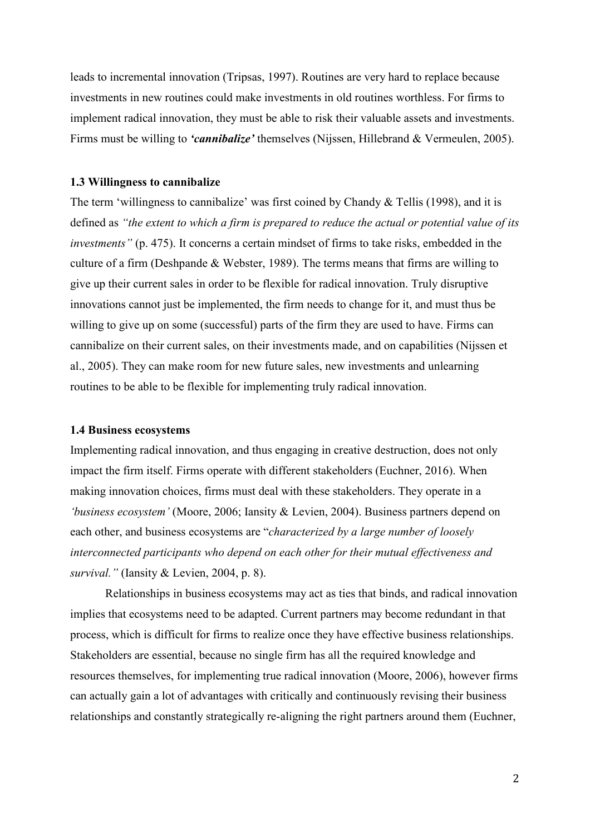leads to incremental innovation (Tripsas, 1997). Routines are very hard to replace because investments in new routines could make investments in old routines worthless. For firms to implement radical innovation, they must be able to risk their valuable assets and investments. Firms must be willing to *'cannibalize'* themselves (Nijssen, Hillebrand & Vermeulen, 2005).

#### <span id="page-8-0"></span>**1.3 Willingness to cannibalize**

The term 'willingness to cannibalize' was first coined by Chandy & Tellis (1998), and it is defined as *"the extent to which a firm is prepared to reduce the actual or potential value of its investments"* (p. 475). It concerns a certain mindset of firms to take risks, embedded in the culture of a firm (Deshpande & Webster, 1989). The terms means that firms are willing to give up their current sales in order to be flexible for radical innovation. Truly disruptive innovations cannot just be implemented, the firm needs to change for it, and must thus be willing to give up on some (successful) parts of the firm they are used to have. Firms can cannibalize on their current sales, on their investments made, and on capabilities (Nijssen et al., 2005). They can make room for new future sales, new investments and unlearning routines to be able to be flexible for implementing truly radical innovation.

#### <span id="page-8-1"></span>**1.4 Business ecosystems**

Implementing radical innovation, and thus engaging in creative destruction, does not only impact the firm itself. Firms operate with different stakeholders (Euchner, 2016). When making innovation choices, firms must deal with these stakeholders. They operate in a *'business ecosystem'* (Moore, 2006; Iansity & Levien, 2004). Business partners depend on each other, and business ecosystems are "*characterized by a large number of loosely interconnected participants who depend on each other for their mutual effectiveness and survival."* (Iansity & Levien, 2004, p. 8).

Relationships in business ecosystems may act as ties that binds, and radical innovation implies that ecosystems need to be adapted. Current partners may become redundant in that process, which is difficult for firms to realize once they have effective business relationships. Stakeholders are essential, because no single firm has all the required knowledge and resources themselves, for implementing true radical innovation (Moore, 2006), however firms can actually gain a lot of advantages with critically and continuously revising their business relationships and constantly strategically re-aligning the right partners around them (Euchner,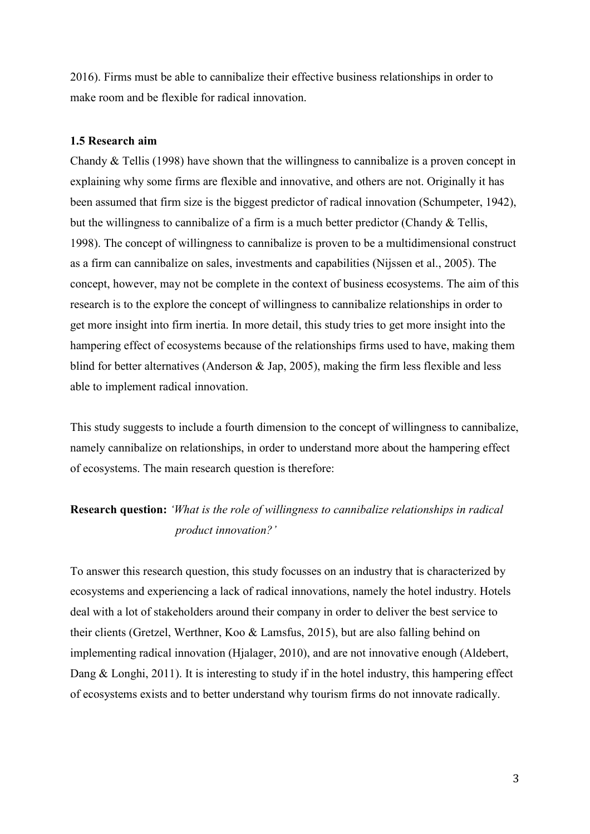2016). Firms must be able to cannibalize their effective business relationships in order to make room and be flexible for radical innovation.

#### <span id="page-9-0"></span>**1.5 Research aim**

Chandy & Tellis (1998) have shown that the willingness to cannibalize is a proven concept in explaining why some firms are flexible and innovative, and others are not. Originally it has been assumed that firm size is the biggest predictor of radical innovation (Schumpeter, 1942), but the willingness to cannibalize of a firm is a much better predictor (Chandy & Tellis, 1998). The concept of willingness to cannibalize is proven to be a multidimensional construct as a firm can cannibalize on sales, investments and capabilities (Nijssen et al., 2005). The concept, however, may not be complete in the context of business ecosystems. The aim of this research is to the explore the concept of willingness to cannibalize relationships in order to get more insight into firm inertia. In more detail, this study tries to get more insight into the hampering effect of ecosystems because of the relationships firms used to have, making them blind for better alternatives (Anderson & Jap, 2005), making the firm less flexible and less able to implement radical innovation.

This study suggests to include a fourth dimension to the concept of willingness to cannibalize, namely cannibalize on relationships, in order to understand more about the hampering effect of ecosystems. The main research question is therefore:

# **Research question:** *'What is the role of willingness to cannibalize relationships in radical product innovation?'*

To answer this research question, this study focusses on an industry that is characterized by ecosystems and experiencing a lack of radical innovations, namely the hotel industry. Hotels deal with a lot of stakeholders around their company in order to deliver the best service to their clients (Gretzel, Werthner, Koo & Lamsfus, 2015), but are also falling behind on implementing radical innovation (Hjalager, 2010), and are not innovative enough (Aldebert, Dang & Longhi, 2011). It is interesting to study if in the hotel industry, this hampering effect of ecosystems exists and to better understand why tourism firms do not innovate radically.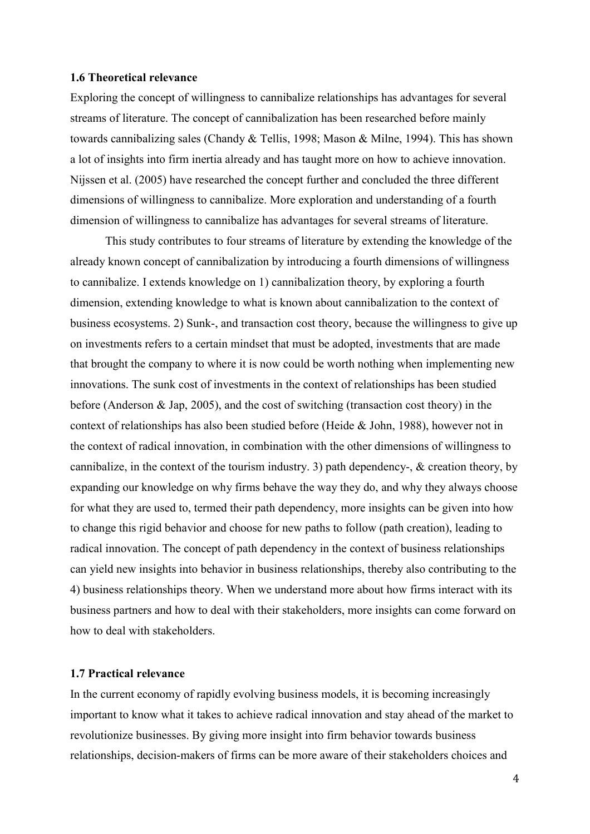#### <span id="page-10-0"></span>**1.6 Theoretical relevance**

Exploring the concept of willingness to cannibalize relationships has advantages for several streams of literature. The concept of cannibalization has been researched before mainly towards cannibalizing sales (Chandy & Tellis, 1998; Mason & Milne, 1994). This has shown a lot of insights into firm inertia already and has taught more on how to achieve innovation. Nijssen et al. (2005) have researched the concept further and concluded the three different dimensions of willingness to cannibalize. More exploration and understanding of a fourth dimension of willingness to cannibalize has advantages for several streams of literature.

This study contributes to four streams of literature by extending the knowledge of the already known concept of cannibalization by introducing a fourth dimensions of willingness to cannibalize. I extends knowledge on 1) cannibalization theory, by exploring a fourth dimension, extending knowledge to what is known about cannibalization to the context of business ecosystems. 2) Sunk-, and transaction cost theory, because the willingness to give up on investments refers to a certain mindset that must be adopted, investments that are made that brought the company to where it is now could be worth nothing when implementing new innovations. The sunk cost of investments in the context of relationships has been studied before (Anderson & Jap, 2005), and the cost of switching (transaction cost theory) in the context of relationships has also been studied before (Heide & John, 1988), however not in the context of radical innovation, in combination with the other dimensions of willingness to cannibalize, in the context of the tourism industry. 3) path dependency-,  $\&$  creation theory, by expanding our knowledge on why firms behave the way they do, and why they always choose for what they are used to, termed their path dependency, more insights can be given into how to change this rigid behavior and choose for new paths to follow (path creation), leading to radical innovation. The concept of path dependency in the context of business relationships can yield new insights into behavior in business relationships, thereby also contributing to the 4) business relationships theory. When we understand more about how firms interact with its business partners and how to deal with their stakeholders, more insights can come forward on how to deal with stakeholders.

#### <span id="page-10-1"></span>**1.7 Practical relevance**

In the current economy of rapidly evolving business models, it is becoming increasingly important to know what it takes to achieve radical innovation and stay ahead of the market to revolutionize businesses. By giving more insight into firm behavior towards business relationships, decision-makers of firms can be more aware of their stakeholders choices and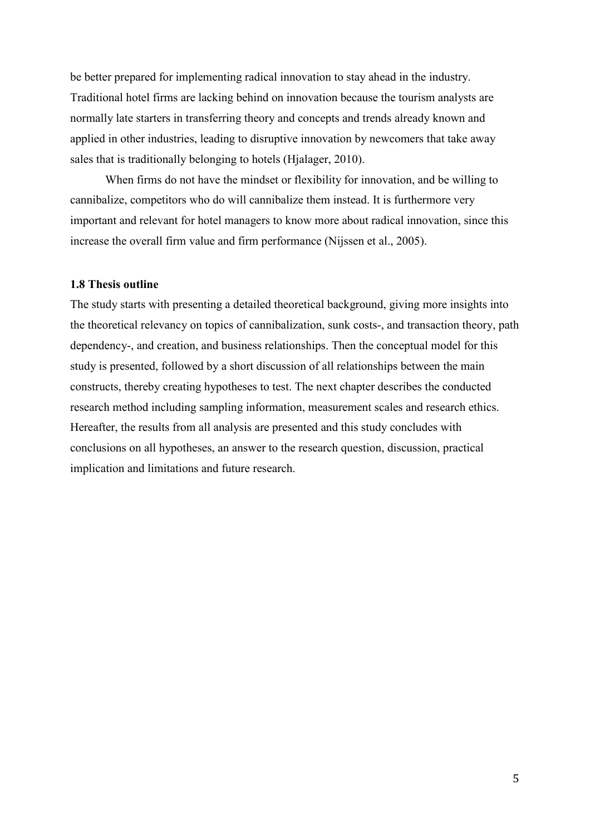be better prepared for implementing radical innovation to stay ahead in the industry. Traditional hotel firms are lacking behind on innovation because the tourism analysts are normally late starters in transferring theory and concepts and trends already known and applied in other industries, leading to disruptive innovation by newcomers that take away sales that is traditionally belonging to hotels (Hjalager, 2010).

When firms do not have the mindset or flexibility for innovation, and be willing to cannibalize, competitors who do will cannibalize them instead. It is furthermore very important and relevant for hotel managers to know more about radical innovation, since this increase the overall firm value and firm performance (Nijssen et al., 2005).

#### <span id="page-11-0"></span>**1.8 Thesis outline**

The study starts with presenting a detailed theoretical background, giving more insights into the theoretical relevancy on topics of cannibalization, sunk costs-, and transaction theory, path dependency-, and creation, and business relationships. Then the conceptual model for this study is presented, followed by a short discussion of all relationships between the main constructs, thereby creating hypotheses to test. The next chapter describes the conducted research method including sampling information, measurement scales and research ethics. Hereafter, the results from all analysis are presented and this study concludes with conclusions on all hypotheses, an answer to the research question, discussion, practical implication and limitations and future research.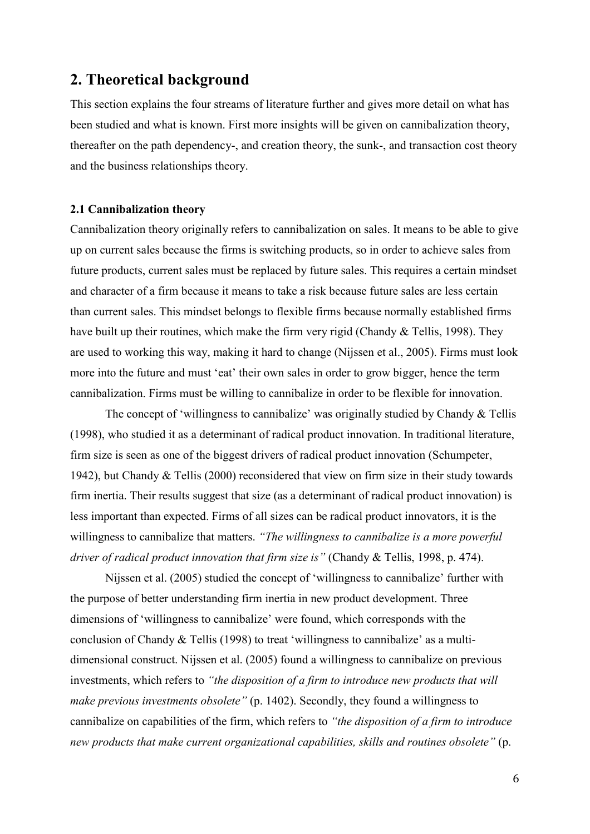## <span id="page-12-0"></span>**2. Theoretical background**

This section explains the four streams of literature further and gives more detail on what has been studied and what is known. First more insights will be given on cannibalization theory, thereafter on the path dependency-, and creation theory, the sunk-, and transaction cost theory and the business relationships theory.

#### <span id="page-12-1"></span>**2.1 Cannibalization theory**

Cannibalization theory originally refers to cannibalization on sales. It means to be able to give up on current sales because the firms is switching products, so in order to achieve sales from future products, current sales must be replaced by future sales. This requires a certain mindset and character of a firm because it means to take a risk because future sales are less certain than current sales. This mindset belongs to flexible firms because normally established firms have built up their routines, which make the firm very rigid (Chandy & Tellis, 1998). They are used to working this way, making it hard to change (Nijssen et al., 2005). Firms must look more into the future and must 'eat' their own sales in order to grow bigger, hence the term cannibalization. Firms must be willing to cannibalize in order to be flexible for innovation.

The concept of 'willingness to cannibalize' was originally studied by Chandy & Tellis (1998), who studied it as a determinant of radical product innovation. In traditional literature, firm size is seen as one of the biggest drivers of radical product innovation (Schumpeter, 1942), but Chandy & Tellis (2000) reconsidered that view on firm size in their study towards firm inertia. Their results suggest that size (as a determinant of radical product innovation) is less important than expected. Firms of all sizes can be radical product innovators, it is the willingness to cannibalize that matters. *"The willingness to cannibalize is a more powerful driver of radical product innovation that firm size is"* (Chandy & Tellis, 1998, p. 474).

Nijssen et al. (2005) studied the concept of 'willingness to cannibalize' further with the purpose of better understanding firm inertia in new product development. Three dimensions of 'willingness to cannibalize' were found, which corresponds with the conclusion of Chandy & Tellis (1998) to treat 'willingness to cannibalize' as a multidimensional construct. Nijssen et al. (2005) found a willingness to cannibalize on previous investments, which refers to *"the disposition of a firm to introduce new products that will make previous investments obsolete"* (p. 1402). Secondly, they found a willingness to cannibalize on capabilities of the firm, which refers to *"the disposition of a firm to introduce new products that make current organizational capabilities, skills and routines obsolete"* (p.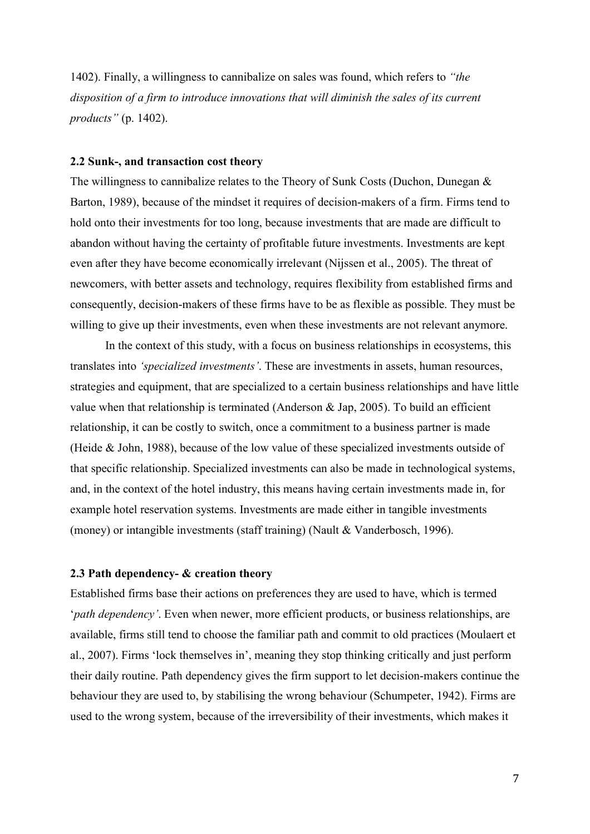1402). Finally, a willingness to cannibalize on sales was found, which refers to *"the disposition of a firm to introduce innovations that will diminish the sales of its current products"* (p. 1402).

#### <span id="page-13-0"></span>**2.2 Sunk-, and transaction cost theory**

The willingness to cannibalize relates to the Theory of Sunk Costs (Duchon, Dunegan & Barton, 1989), because of the mindset it requires of decision-makers of a firm. Firms tend to hold onto their investments for too long, because investments that are made are difficult to abandon without having the certainty of profitable future investments. Investments are kept even after they have become economically irrelevant (Nijssen et al., 2005). The threat of newcomers, with better assets and technology, requires flexibility from established firms and consequently, decision-makers of these firms have to be as flexible as possible. They must be willing to give up their investments, even when these investments are not relevant anymore.

In the context of this study, with a focus on business relationships in ecosystems, this translates into *'specialized investments'*. These are investments in assets, human resources, strategies and equipment, that are specialized to a certain business relationships and have little value when that relationship is terminated (Anderson & Jap, 2005). To build an efficient relationship, it can be costly to switch, once a commitment to a business partner is made (Heide & John, 1988), because of the low value of these specialized investments outside of that specific relationship. Specialized investments can also be made in technological systems, and, in the context of the hotel industry, this means having certain investments made in, for example hotel reservation systems. Investments are made either in tangible investments (money) or intangible investments (staff training) (Nault & Vanderbosch, 1996).

#### <span id="page-13-1"></span>**2.3 Path dependency- & creation theory**

Established firms base their actions on preferences they are used to have, which is termed '*path dependency'*. Even when newer, more efficient products, or business relationships, are available, firms still tend to choose the familiar path and commit to old practices (Moulaert et al., 2007). Firms 'lock themselves in', meaning they stop thinking critically and just perform their daily routine. Path dependency gives the firm support to let decision-makers continue the behaviour they are used to, by stabilising the wrong behaviour (Schumpeter, 1942). Firms are used to the wrong system, because of the irreversibility of their investments, which makes it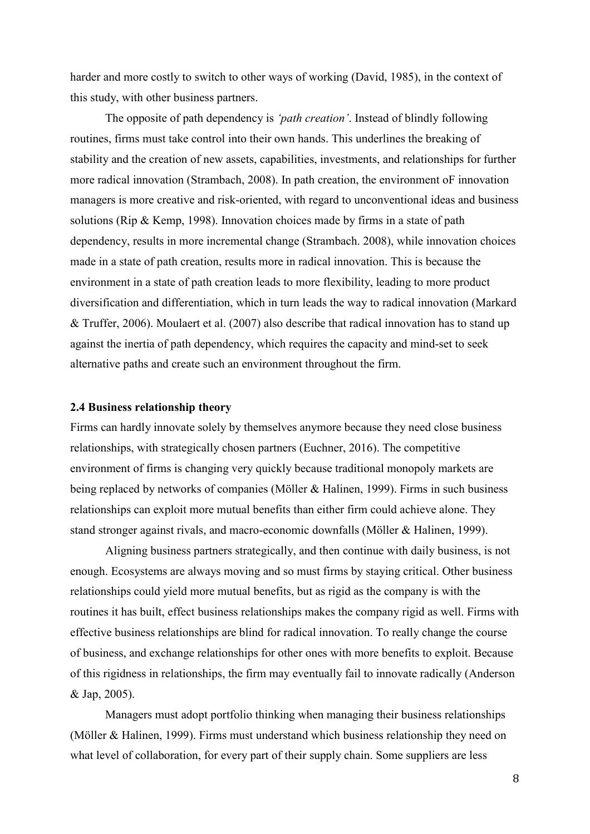harder and more costly to switch to other ways of working (David, 1985), in the context of this study, with other business partners.

The opposite of path dependency is *'path creation'*. Instead of blindly following routines, firms must take control into their own hands. This underlines the breaking of stability and the creation of new assets, capabilities, investments, and relationships for further more radical innovation (Strambach, 2008). In path creation, the environment oF innovation managers is more creative and risk-oriented, with regard to unconventional ideas and business solutions (Rip & Kemp, 1998). Innovation choices made by firms in a state of path dependency, results in more incremental change (Strambach. 2008), while innovation choices made in a state of path creation, results more in radical innovation. This is because the environment in a state of path creation leads to more flexibility, leading to more product diversification and differentiation, which in turn leads the way to radical innovation (Markard & Truffer, 2006). Moulaert et al. (2007) also describe that radical innovation has to stand up against the inertia of path dependency, which requires the capacity and mind-set to seek alternative paths and create such an environment throughout the firm.

#### <span id="page-14-0"></span>**2.4 Business relationship theory**

Firms can hardly innovate solely by themselves anymore because they need close business relationships, with strategically chosen partners (Euchner, 2016). The competitive environment of firms is changing very quickly because traditional monopoly markets are being replaced by networks of companies (Möller & Halinen, 1999). Firms in such business relationships can exploit more mutual benefits than either firm could achieve alone. They stand stronger against rivals, and macro-economic downfalls (Möller & Halinen, 1999).

Aligning business partners strategically, and then continue with daily business, is not enough. Ecosystems are always moving and so must firms by staying critical. Other business relationships could yield more mutual benefits, but as rigid as the company is with the routines it has built, effect business relationships makes the company rigid as well. Firms with effective business relationships are blind for radical innovation. To really change the course of business, and exchange relationships for other ones with more benefits to exploit. Because of this rigidness in relationships, the firm may eventually fail to innovate radically (Anderson & Jap, 2005).

Managers must adopt portfolio thinking when managing their business relationships (Möller & Halinen, 1999). Firms must understand which business relationship they need on what level of collaboration, for every part of their supply chain. Some suppliers are less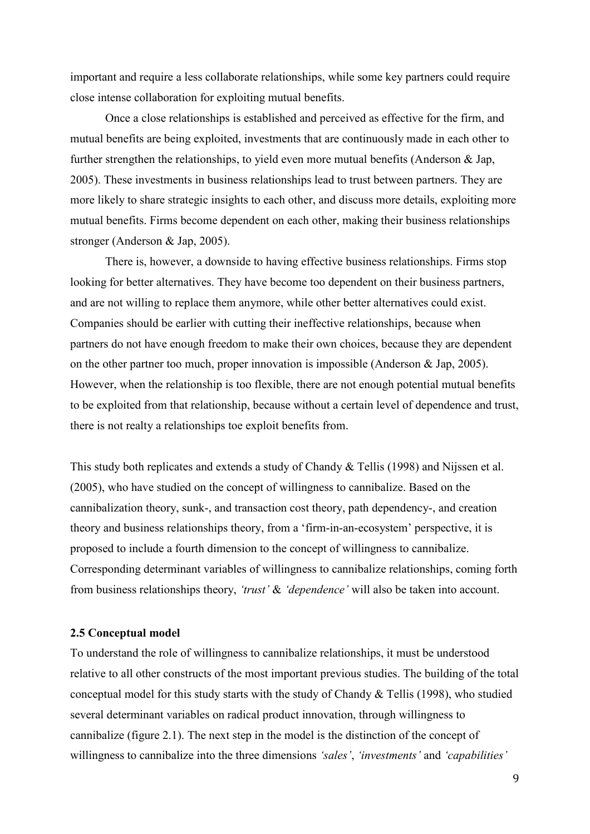important and require a less collaborate relationships, while some key partners could require close intense collaboration for exploiting mutual benefits.

Once a close relationships is established and perceived as effective for the firm, and mutual benefits are being exploited, investments that are continuously made in each other to further strengthen the relationships, to yield even more mutual benefits (Anderson & Jap, 2005). These investments in business relationships lead to trust between partners. They are more likely to share strategic insights to each other, and discuss more details, exploiting more mutual benefits. Firms become dependent on each other, making their business relationships stronger (Anderson & Jap, 2005).

There is, however, a downside to having effective business relationships. Firms stop looking for better alternatives. They have become too dependent on their business partners, and are not willing to replace them anymore, while other better alternatives could exist. Companies should be earlier with cutting their ineffective relationships, because when partners do not have enough freedom to make their own choices, because they are dependent on the other partner too much, proper innovation is impossible (Anderson & Jap, 2005). However, when the relationship is too flexible, there are not enough potential mutual benefits to be exploited from that relationship, because without a certain level of dependence and trust, there is not realty a relationships toe exploit benefits from.

This study both replicates and extends a study of Chandy & Tellis (1998) and Nijssen et al. (2005), who have studied on the concept of willingness to cannibalize. Based on the cannibalization theory, sunk-, and transaction cost theory, path dependency-, and creation theory and business relationships theory, from a 'firm-in-an-ecosystem' perspective, it is proposed to include a fourth dimension to the concept of willingness to cannibalize. Corresponding determinant variables of willingness to cannibalize relationships, coming forth from business relationships theory, *'trust'* & *'dependence'* will also be taken into account.

#### <span id="page-15-0"></span>**2.5 Conceptual model**

To understand the role of willingness to cannibalize relationships, it must be understood relative to all other constructs of the most important previous studies. The building of the total conceptual model for this study starts with the study of Chandy & Tellis (1998), who studied several determinant variables on radical product innovation, through willingness to cannibalize (figure 2.1). The next step in the model is the distinction of the concept of willingness to cannibalize into the three dimensions *'sales'*, *'investments'* and *'capabilities'*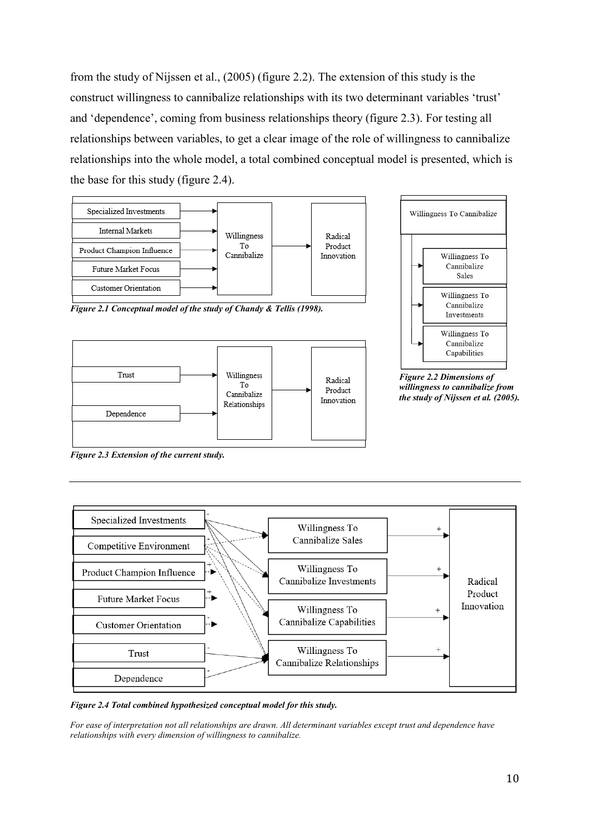from the study of Nijssen et al., (2005) (figure 2.2). The extension of this study is the construct willingness to cannibalize relationships with its two determinant variables 'trust' and 'dependence', coming from business relationships theory (figure 2.3). For testing all relationships between variables, to get a clear image of the role of willingness to cannibalize relationships into the whole model, a total combined conceptual model is presented, which is the base for this study (figure 2.4).



*Figure 2.1 Conceptual model of the study of Chandy & Tellis (1998).*





*Figure 2.2 Dimensions of willingness to cannibalize from the study of Nijssen et al. (2005).*

*Figure 2.3 Extension of the current study.*



*Figure 2.4 Total combined hypothesized conceptual model for this study.* 

*For ease of interpretation not all relationships are drawn. All determinant variables except trust and dependence have relationships with every dimension of willingness to cannibalize.*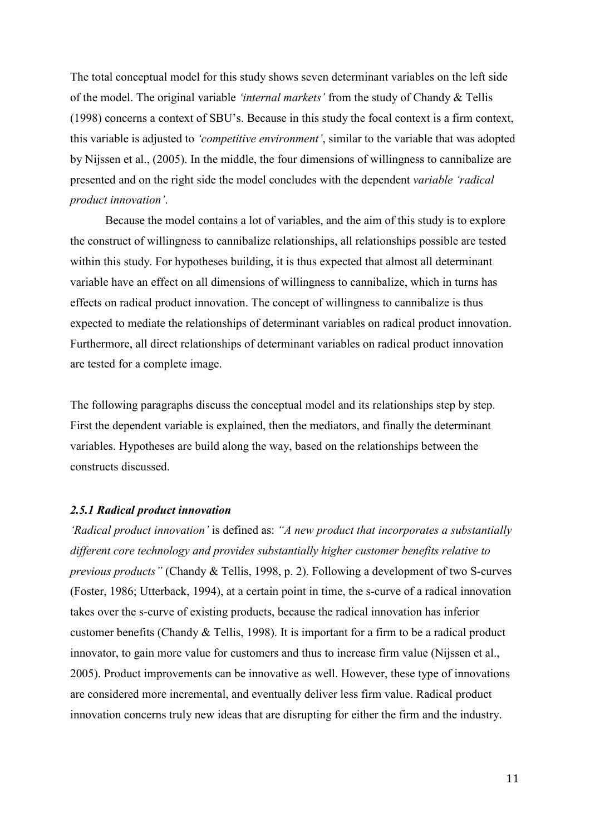The total conceptual model for this study shows seven determinant variables on the left side of the model. The original variable *'internal markets'* from the study of Chandy & Tellis (1998) concerns a context of SBU's. Because in this study the focal context is a firm context, this variable is adjusted to *'competitive environment'*, similar to the variable that was adopted by Nijssen et al., (2005). In the middle, the four dimensions of willingness to cannibalize are presented and on the right side the model concludes with the dependent *variable 'radical product innovation'*.

Because the model contains a lot of variables, and the aim of this study is to explore the construct of willingness to cannibalize relationships, all relationships possible are tested within this study. For hypotheses building, it is thus expected that almost all determinant variable have an effect on all dimensions of willingness to cannibalize, which in turns has effects on radical product innovation. The concept of willingness to cannibalize is thus expected to mediate the relationships of determinant variables on radical product innovation. Furthermore, all direct relationships of determinant variables on radical product innovation are tested for a complete image.

The following paragraphs discuss the conceptual model and its relationships step by step. First the dependent variable is explained, then the mediators, and finally the determinant variables. Hypotheses are build along the way, based on the relationships between the constructs discussed.

#### <span id="page-17-0"></span>*2.5.1 Radical product innovation*

*'Radical product innovation'* is defined as: *"A new product that incorporates a substantially different core technology and provides substantially higher customer benefits relative to previous products"* (Chandy & Tellis, 1998, p. 2). Following a development of two S-curves (Foster, 1986; Utterback, 1994), at a certain point in time, the s-curve of a radical innovation takes over the s-curve of existing products, because the radical innovation has inferior customer benefits (Chandy & Tellis, 1998). It is important for a firm to be a radical product innovator, to gain more value for customers and thus to increase firm value (Nijssen et al., 2005). Product improvements can be innovative as well. However, these type of innovations are considered more incremental, and eventually deliver less firm value. Radical product innovation concerns truly new ideas that are disrupting for either the firm and the industry.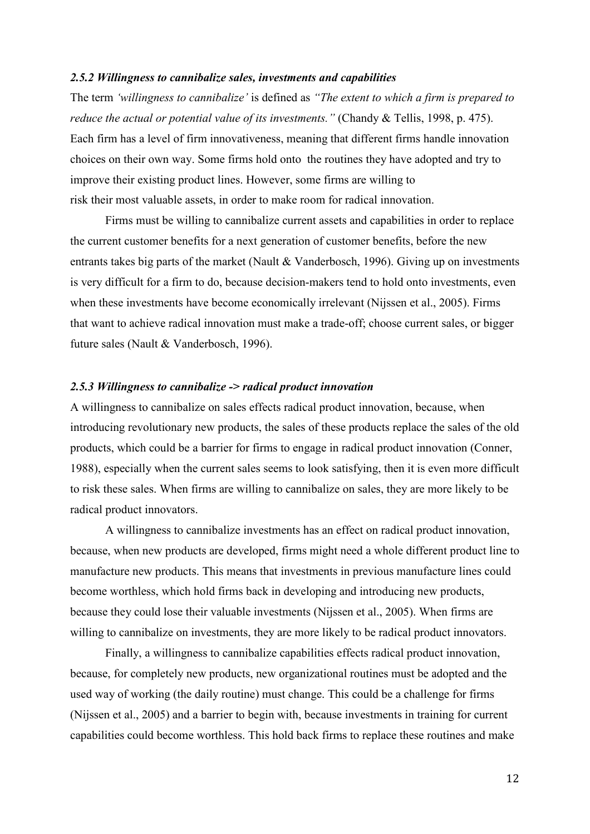#### <span id="page-18-0"></span>*2.5.2 Willingness to cannibalize sales, investments and capabilities*

The term *'willingness to cannibalize'* is defined as *"The extent to which a firm is prepared to reduce the actual or potential value of its investments."* (Chandy & Tellis, 1998, p. 475). Each firm has a level of firm innovativeness, meaning that different firms handle innovation choices on their own way. Some firms hold onto the routines they have adopted and try to improve their existing product lines. However, some firms are willing to risk their most valuable assets, in order to make room for radical innovation.

Firms must be willing to cannibalize current assets and capabilities in order to replace the current customer benefits for a next generation of customer benefits, before the new entrants takes big parts of the market (Nault & Vanderbosch, 1996). Giving up on investments is very difficult for a firm to do, because decision-makers tend to hold onto investments, even when these investments have become economically irrelevant (Nijssen et al., 2005). Firms that want to achieve radical innovation must make a trade-off; choose current sales, or bigger future sales (Nault & Vanderbosch, 1996).

#### <span id="page-18-1"></span>*2.5.3 Willingness to cannibalize -> radical product innovation*

A willingness to cannibalize on sales effects radical product innovation, because, when introducing revolutionary new products, the sales of these products replace the sales of the old products, which could be a barrier for firms to engage in radical product innovation (Conner, 1988), especially when the current sales seems to look satisfying, then it is even more difficult to risk these sales. When firms are willing to cannibalize on sales, they are more likely to be radical product innovators.

A willingness to cannibalize investments has an effect on radical product innovation, because, when new products are developed, firms might need a whole different product line to manufacture new products. This means that investments in previous manufacture lines could become worthless, which hold firms back in developing and introducing new products, because they could lose their valuable investments (Nijssen et al., 2005). When firms are willing to cannibalize on investments, they are more likely to be radical product innovators.

Finally, a willingness to cannibalize capabilities effects radical product innovation, because, for completely new products, new organizational routines must be adopted and the used way of working (the daily routine) must change. This could be a challenge for firms (Nijssen et al., 2005) and a barrier to begin with, because investments in training for current capabilities could become worthless. This hold back firms to replace these routines and make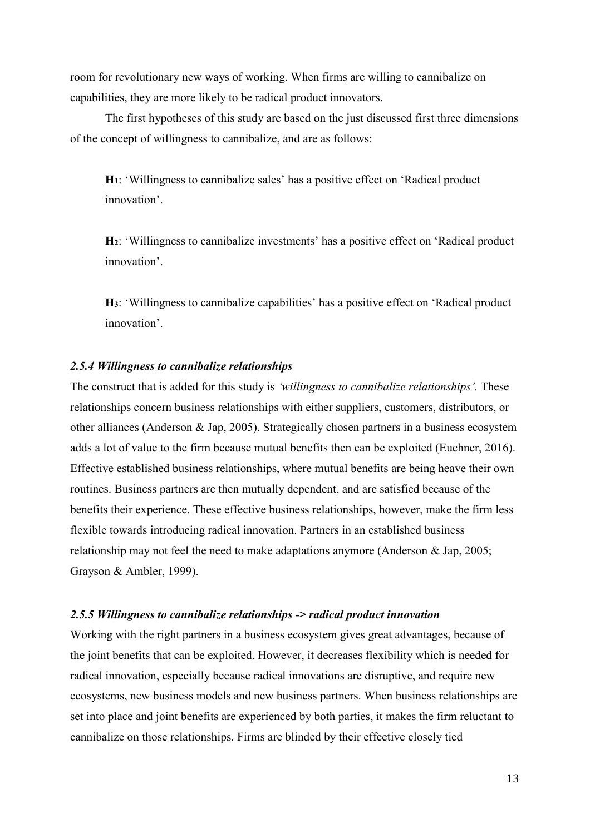room for revolutionary new ways of working. When firms are willing to cannibalize on capabilities, they are more likely to be radical product innovators.

The first hypotheses of this study are based on the just discussed first three dimensions of the concept of willingness to cannibalize, and are as follows:

**H1**: 'Willingness to cannibalize sales' has a positive effect on 'Radical product innovation'.

**H2**: 'Willingness to cannibalize investments' has a positive effect on 'Radical product innovation'.

**H3**: 'Willingness to cannibalize capabilities' has a positive effect on 'Radical product innovation'.

#### <span id="page-19-0"></span>*2.5.4 Willingness to cannibalize relationships*

The construct that is added for this study is *'willingness to cannibalize relationships'.* These relationships concern business relationships with either suppliers, customers, distributors, or other alliances (Anderson & Jap, 2005). Strategically chosen partners in a business ecosystem adds a lot of value to the firm because mutual benefits then can be exploited (Euchner, 2016). Effective established business relationships, where mutual benefits are being heave their own routines. Business partners are then mutually dependent, and are satisfied because of the benefits their experience. These effective business relationships, however, make the firm less flexible towards introducing radical innovation. Partners in an established business relationship may not feel the need to make adaptations anymore (Anderson & Jap, 2005; Grayson & Ambler, 1999).

#### <span id="page-19-1"></span>*2.5.5 Willingness to cannibalize relationships -> radical product innovation*

Working with the right partners in a business ecosystem gives great advantages, because of the joint benefits that can be exploited. However, it decreases flexibility which is needed for radical innovation, especially because radical innovations are disruptive, and require new ecosystems, new business models and new business partners. When business relationships are set into place and joint benefits are experienced by both parties, it makes the firm reluctant to cannibalize on those relationships. Firms are blinded by their effective closely tied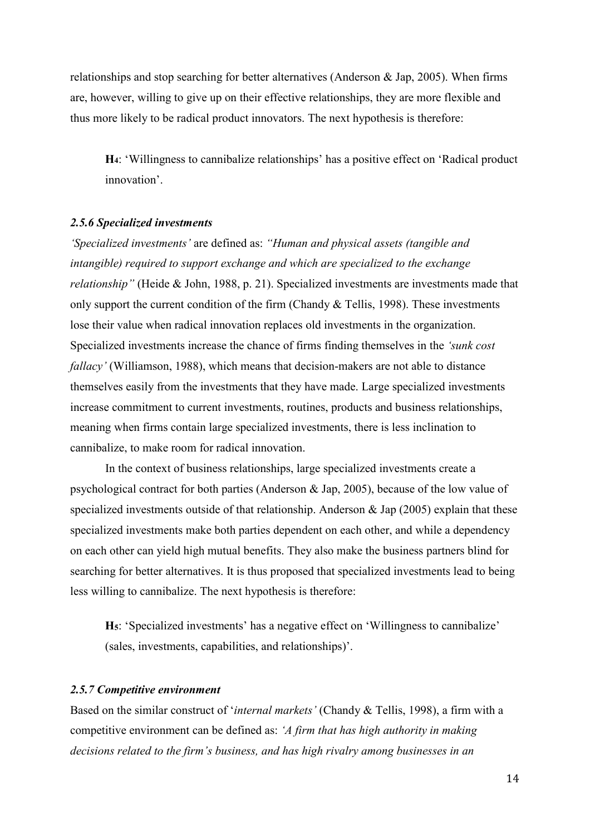relationships and stop searching for better alternatives (Anderson & Jap, 2005). When firms are, however, willing to give up on their effective relationships, they are more flexible and thus more likely to be radical product innovators. The next hypothesis is therefore:

**H4**: 'Willingness to cannibalize relationships' has a positive effect on 'Radical product innovation'.

#### <span id="page-20-0"></span>*2.5.6 Specialized investments*

*'Specialized investments'* are defined as: *"Human and physical assets (tangible and intangible) required to support exchange and which are specialized to the exchange relationship"* (Heide & John, 1988, p. 21). Specialized investments are investments made that only support the current condition of the firm (Chandy & Tellis, 1998). These investments lose their value when radical innovation replaces old investments in the organization. Specialized investments increase the chance of firms finding themselves in the *'sunk cost fallacy'* (Williamson, 1988), which means that decision-makers are not able to distance themselves easily from the investments that they have made. Large specialized investments increase commitment to current investments, routines, products and business relationships, meaning when firms contain large specialized investments, there is less inclination to cannibalize, to make room for radical innovation.

In the context of business relationships, large specialized investments create a psychological contract for both parties (Anderson & Jap, 2005), because of the low value of specialized investments outside of that relationship. Anderson & Jap (2005) explain that these specialized investments make both parties dependent on each other, and while a dependency on each other can yield high mutual benefits. They also make the business partners blind for searching for better alternatives. It is thus proposed that specialized investments lead to being less willing to cannibalize. The next hypothesis is therefore:

**H5**: 'Specialized investments' has a negative effect on 'Willingness to cannibalize' (sales, investments, capabilities, and relationships)'.

#### <span id="page-20-1"></span>*2.5.7 Competitive environment*

Based on the similar construct of '*internal markets'* (Chandy & Tellis, 1998), a firm with a competitive environment can be defined as: *'A firm that has high authority in making decisions related to the firm's business, and has high rivalry among businesses in an*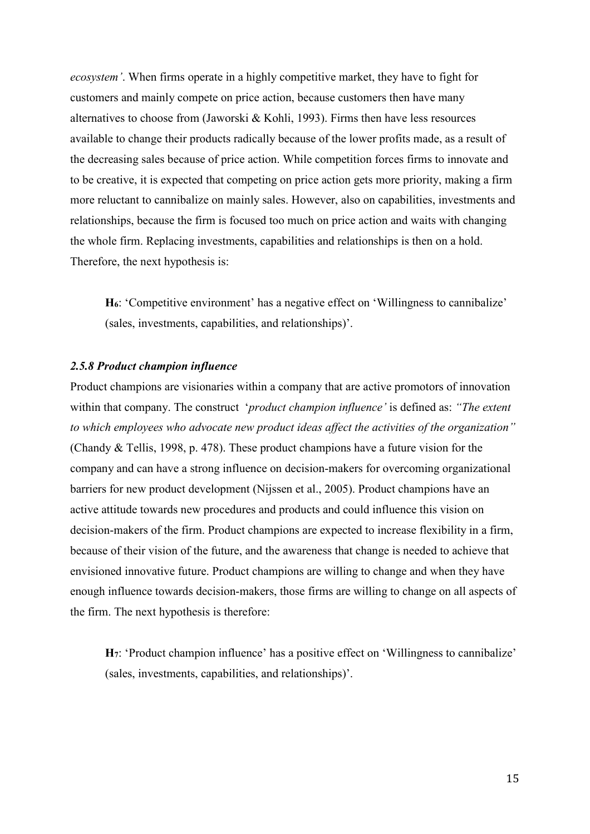*ecosystem'*. When firms operate in a highly competitive market, they have to fight for customers and mainly compete on price action, because customers then have many alternatives to choose from (Jaworski & Kohli, 1993). Firms then have less resources available to change their products radically because of the lower profits made, as a result of the decreasing sales because of price action. While competition forces firms to innovate and to be creative, it is expected that competing on price action gets more priority, making a firm more reluctant to cannibalize on mainly sales. However, also on capabilities, investments and relationships, because the firm is focused too much on price action and waits with changing the whole firm. Replacing investments, capabilities and relationships is then on a hold. Therefore, the next hypothesis is:

**H6**: 'Competitive environment' has a negative effect on 'Willingness to cannibalize' (sales, investments, capabilities, and relationships)'.

#### <span id="page-21-0"></span>*2.5.8 Product champion influence*

Product champions are visionaries within a company that are active promotors of innovation within that company. The construct '*product champion influence'* is defined as: *"The extent to which employees who advocate new product ideas affect the activities of the organization"* (Chandy & Tellis, 1998, p. 478). These product champions have a future vision for the company and can have a strong influence on decision-makers for overcoming organizational barriers for new product development (Nijssen et al., 2005). Product champions have an active attitude towards new procedures and products and could influence this vision on decision-makers of the firm. Product champions are expected to increase flexibility in a firm, because of their vision of the future, and the awareness that change is needed to achieve that envisioned innovative future. Product champions are willing to change and when they have enough influence towards decision-makers, those firms are willing to change on all aspects of the firm. The next hypothesis is therefore:

**H7**: 'Product champion influence' has a positive effect on 'Willingness to cannibalize' (sales, investments, capabilities, and relationships)'.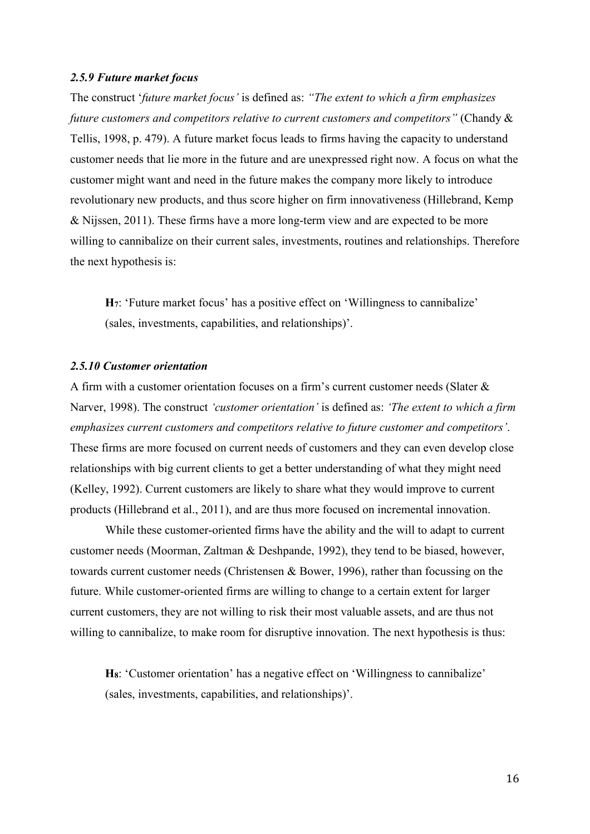#### <span id="page-22-0"></span>*2.5.9 Future market focus*

The construct '*future market focus'* is defined as: *"The extent to which a firm emphasizes future customers and competitors relative to current customers and competitors"* (Chandy & Tellis, 1998, p. 479). A future market focus leads to firms having the capacity to understand customer needs that lie more in the future and are unexpressed right now. A focus on what the customer might want and need in the future makes the company more likely to introduce revolutionary new products, and thus score higher on firm innovativeness (Hillebrand, Kemp & Nijssen, 2011). These firms have a more long-term view and are expected to be more willing to cannibalize on their current sales, investments, routines and relationships. Therefore the next hypothesis is:

**H7**: 'Future market focus' has a positive effect on 'Willingness to cannibalize' (sales, investments, capabilities, and relationships)'.

#### <span id="page-22-1"></span>*2.5.10 Customer orientation*

A firm with a customer orientation focuses on a firm's current customer needs (Slater & Narver, 1998). The construct *'customer orientation'* is defined as: *'The extent to which a firm emphasizes current customers and competitors relative to future customer and competitors'*. These firms are more focused on current needs of customers and they can even develop close relationships with big current clients to get a better understanding of what they might need (Kelley, 1992). Current customers are likely to share what they would improve to current products (Hillebrand et al., 2011), and are thus more focused on incremental innovation.

While these customer-oriented firms have the ability and the will to adapt to current customer needs (Moorman, Zaltman & Deshpande, 1992), they tend to be biased, however, towards current customer needs (Christensen & Bower, 1996), rather than focussing on the future. While customer-oriented firms are willing to change to a certain extent for larger current customers, they are not willing to risk their most valuable assets, and are thus not willing to cannibalize, to make room for disruptive innovation. The next hypothesis is thus:

**H8**: 'Customer orientation' has a negative effect on 'Willingness to cannibalize' (sales, investments, capabilities, and relationships)'.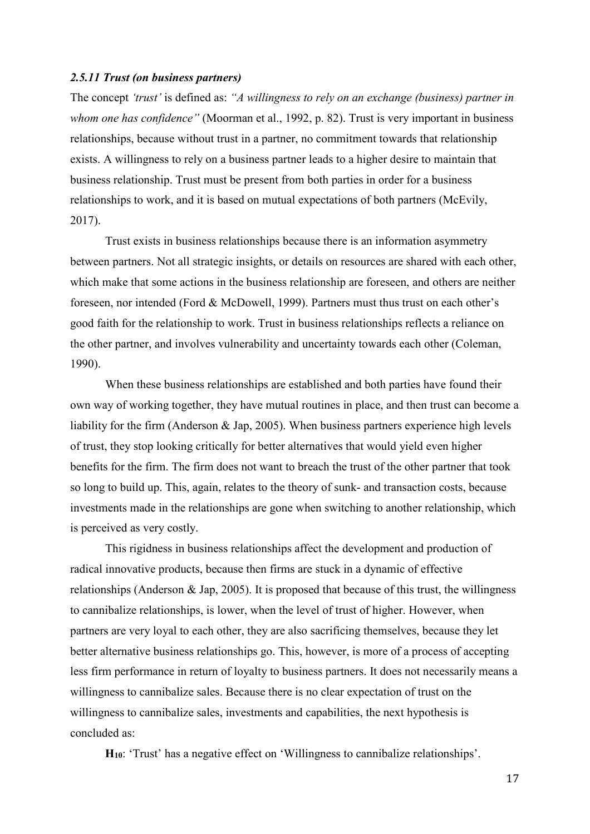#### <span id="page-23-0"></span>*2.5.11 Trust (on business partners)*

The concept *'trust'* is defined as: *"A willingness to rely on an exchange (business) partner in whom one has confidence"* (Moorman et al., 1992, p. 82). Trust is very important in business relationships, because without trust in a partner, no commitment towards that relationship exists. A willingness to rely on a business partner leads to a higher desire to maintain that business relationship. Trust must be present from both parties in order for a business relationships to work, and it is based on mutual expectations of both partners (McEvily, 2017).

Trust exists in business relationships because there is an information asymmetry between partners. Not all strategic insights, or details on resources are shared with each other, which make that some actions in the business relationship are foreseen, and others are neither foreseen, nor intended (Ford & McDowell, 1999). Partners must thus trust on each other's good faith for the relationship to work. Trust in business relationships reflects a reliance on the other partner, and involves vulnerability and uncertainty towards each other (Coleman, 1990).

When these business relationships are established and both parties have found their own way of working together, they have mutual routines in place, and then trust can become a liability for the firm (Anderson & Jap, 2005). When business partners experience high levels of trust, they stop looking critically for better alternatives that would yield even higher benefits for the firm. The firm does not want to breach the trust of the other partner that took so long to build up. This, again, relates to the theory of sunk- and transaction costs, because investments made in the relationships are gone when switching to another relationship, which is perceived as very costly.

This rigidness in business relationships affect the development and production of radical innovative products, because then firms are stuck in a dynamic of effective relationships (Anderson & Jap, 2005). It is proposed that because of this trust, the willingness to cannibalize relationships, is lower, when the level of trust of higher. However, when partners are very loyal to each other, they are also sacrificing themselves, because they let better alternative business relationships go. This, however, is more of a process of accepting less firm performance in return of loyalty to business partners. It does not necessarily means a willingness to cannibalize sales. Because there is no clear expectation of trust on the willingness to cannibalize sales, investments and capabilities, the next hypothesis is concluded as:

**H10**: 'Trust' has a negative effect on 'Willingness to cannibalize relationships'.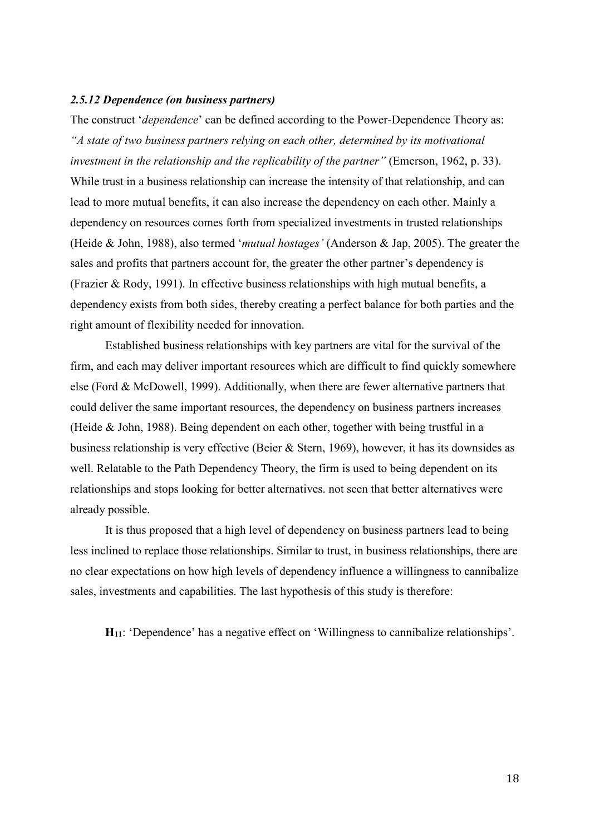#### <span id="page-24-0"></span>*2.5.12 Dependence (on business partners)*

The construct '*dependence*' can be defined according to the Power-Dependence Theory as: *"A state of two business partners relying on each other, determined by its motivational investment in the relationship and the replicability of the partner"* (Emerson, 1962, p. 33). While trust in a business relationship can increase the intensity of that relationship, and can lead to more mutual benefits, it can also increase the dependency on each other. Mainly a dependency on resources comes forth from specialized investments in trusted relationships (Heide & John, 1988), also termed '*mutual hostages'* (Anderson & Jap, 2005). The greater the sales and profits that partners account for, the greater the other partner's dependency is (Frazier & Rody, 1991). In effective business relationships with high mutual benefits, a dependency exists from both sides, thereby creating a perfect balance for both parties and the right amount of flexibility needed for innovation.

Established business relationships with key partners are vital for the survival of the firm, and each may deliver important resources which are difficult to find quickly somewhere else (Ford & McDowell, 1999). Additionally, when there are fewer alternative partners that could deliver the same important resources, the dependency on business partners increases (Heide & John, 1988). Being dependent on each other, together with being trustful in a business relationship is very effective (Beier & Stern, 1969), however, it has its downsides as well. Relatable to the Path Dependency Theory, the firm is used to being dependent on its relationships and stops looking for better alternatives. not seen that better alternatives were already possible.

It is thus proposed that a high level of dependency on business partners lead to being less inclined to replace those relationships. Similar to trust, in business relationships, there are no clear expectations on how high levels of dependency influence a willingness to cannibalize sales, investments and capabilities. The last hypothesis of this study is therefore:

**H11**: 'Dependence' has a negative effect on 'Willingness to cannibalize relationships'.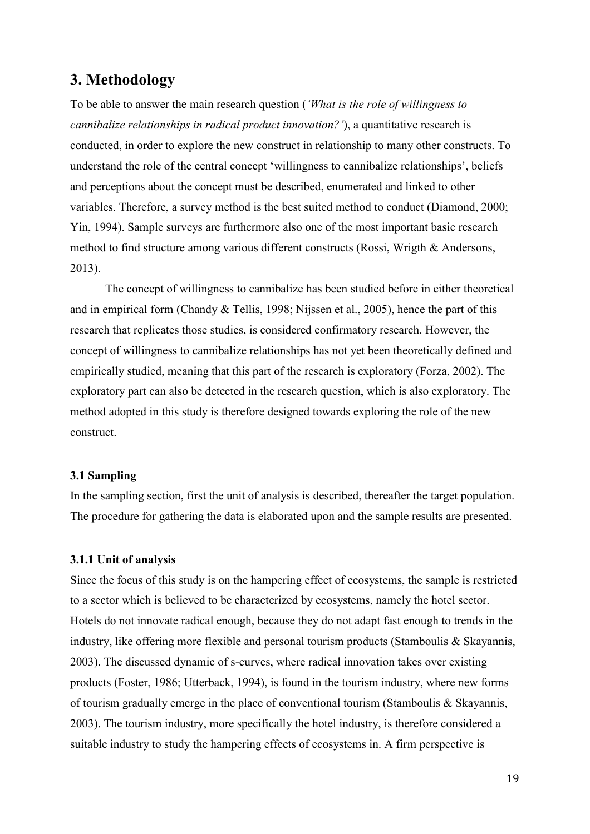# <span id="page-25-0"></span>**3. Methodology**

To be able to answer the main research question (*'What is the role of willingness to cannibalize relationships in radical product innovation?'*), a quantitative research is conducted, in order to explore the new construct in relationship to many other constructs. To understand the role of the central concept 'willingness to cannibalize relationships', beliefs and perceptions about the concept must be described, enumerated and linked to other variables. Therefore, a survey method is the best suited method to conduct (Diamond, 2000; Yin, 1994). Sample surveys are furthermore also one of the most important basic research method to find structure among various different constructs (Rossi, Wrigth & Andersons, 2013).

The concept of willingness to cannibalize has been studied before in either theoretical and in empirical form (Chandy & Tellis, 1998; Nijssen et al., 2005), hence the part of this research that replicates those studies, is considered confirmatory research. However, the concept of willingness to cannibalize relationships has not yet been theoretically defined and empirically studied, meaning that this part of the research is exploratory (Forza, 2002). The exploratory part can also be detected in the research question, which is also exploratory. The method adopted in this study is therefore designed towards exploring the role of the new construct.

#### <span id="page-25-1"></span>**3.1 Sampling**

In the sampling section, first the unit of analysis is described, thereafter the target population. The procedure for gathering the data is elaborated upon and the sample results are presented.

#### <span id="page-25-2"></span>**3.1.1 Unit of analysis**

Since the focus of this study is on the hampering effect of ecosystems, the sample is restricted to a sector which is believed to be characterized by ecosystems, namely the hotel sector. Hotels do not innovate radical enough, because they do not adapt fast enough to trends in the industry, like offering more flexible and personal tourism products (Stamboulis & Skayannis, 2003). The discussed dynamic of s-curves, where radical innovation takes over existing products (Foster, 1986; Utterback, 1994), is found in the tourism industry, where new forms of tourism gradually emerge in the place of conventional tourism (Stamboulis & Skayannis, 2003). The tourism industry, more specifically the hotel industry, is therefore considered a suitable industry to study the hampering effects of ecosystems in. A firm perspective is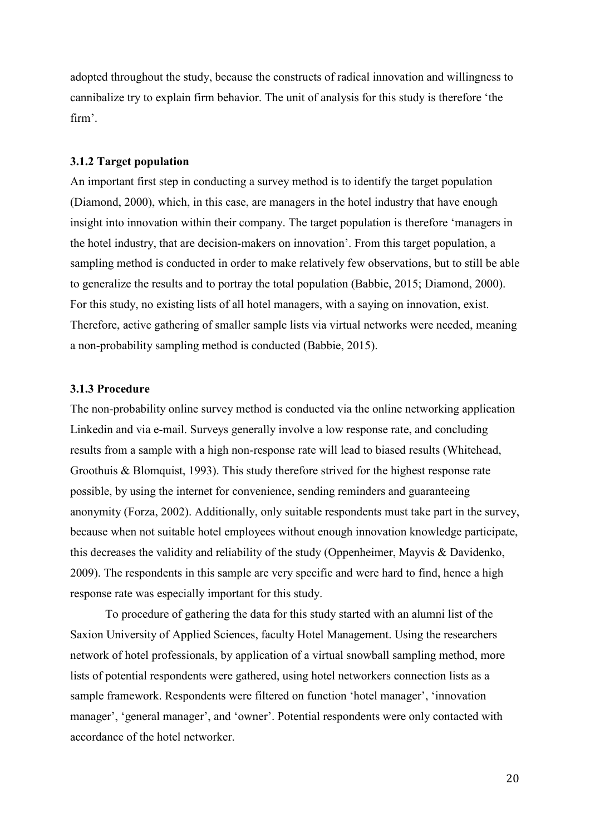adopted throughout the study, because the constructs of radical innovation and willingness to cannibalize try to explain firm behavior. The unit of analysis for this study is therefore 'the firm'.

#### <span id="page-26-0"></span>**3.1.2 Target population**

An important first step in conducting a survey method is to identify the target population (Diamond, 2000), which, in this case, are managers in the hotel industry that have enough insight into innovation within their company. The target population is therefore 'managers in the hotel industry, that are decision-makers on innovation'. From this target population, a sampling method is conducted in order to make relatively few observations, but to still be able to generalize the results and to portray the total population (Babbie, 2015; Diamond, 2000). For this study, no existing lists of all hotel managers, with a saying on innovation, exist. Therefore, active gathering of smaller sample lists via virtual networks were needed, meaning a non-probability sampling method is conducted (Babbie, 2015).

#### <span id="page-26-1"></span>**3.1.3 Procedure**

The non-probability online survey method is conducted via the online networking application Linkedin and via e-mail. Surveys generally involve a low response rate, and concluding results from a sample with a high non-response rate will lead to biased results (Whitehead, Groothuis & Blomquist, 1993). This study therefore strived for the highest response rate possible, by using the internet for convenience, sending reminders and guaranteeing anonymity (Forza, 2002). Additionally, only suitable respondents must take part in the survey, because when not suitable hotel employees without enough innovation knowledge participate, this decreases the validity and reliability of the study (Oppenheimer, Mayvis & Davidenko, 2009). The respondents in this sample are very specific and were hard to find, hence a high response rate was especially important for this study.

To procedure of gathering the data for this study started with an alumni list of the Saxion University of Applied Sciences, faculty Hotel Management. Using the researchers network of hotel professionals, by application of a virtual snowball sampling method, more lists of potential respondents were gathered, using hotel networkers connection lists as a sample framework. Respondents were filtered on function 'hotel manager', 'innovation manager', 'general manager', and 'owner'. Potential respondents were only contacted with accordance of the hotel networker.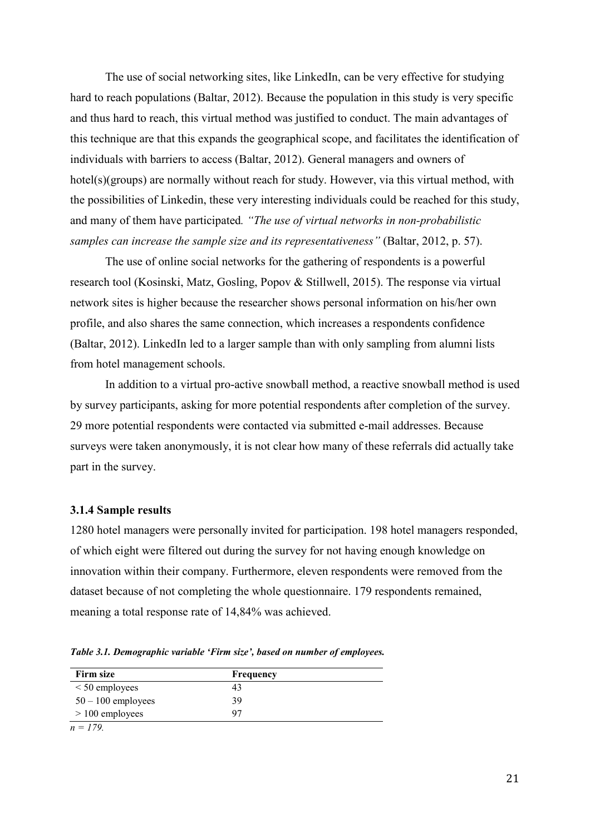The use of social networking sites, like LinkedIn, can be very effective for studying hard to reach populations (Baltar, 2012). Because the population in this study is very specific and thus hard to reach, this virtual method was justified to conduct. The main advantages of this technique are that this expands the geographical scope, and facilitates the identification of individuals with barriers to access (Baltar, 2012). General managers and owners of hotel(s)(groups) are normally without reach for study. However, via this virtual method, with the possibilities of Linkedin, these very interesting individuals could be reached for this study, and many of them have participated*. "The use of virtual networks in non-probabilistic samples can increase the sample size and its representativeness"* (Baltar, 2012, p. 57).

The use of online social networks for the gathering of respondents is a powerful research tool (Kosinski, Matz, Gosling, Popov & Stillwell, 2015). The response via virtual network sites is higher because the researcher shows personal information on his/her own profile, and also shares the same connection, which increases a respondents confidence (Baltar, 2012). LinkedIn led to a larger sample than with only sampling from alumni lists from hotel management schools.

In addition to a virtual pro-active snowball method, a reactive snowball method is used by survey participants, asking for more potential respondents after completion of the survey. 29 more potential respondents were contacted via submitted e-mail addresses. Because surveys were taken anonymously, it is not clear how many of these referrals did actually take part in the survey.

#### <span id="page-27-0"></span>**3.1.4 Sample results**

1280 hotel managers were personally invited for participation. 198 hotel managers responded, of which eight were filtered out during the survey for not having enough knowledge on innovation within their company. Furthermore, eleven respondents were removed from the dataset because of not completing the whole questionnaire. 179 respondents remained, meaning a total response rate of 14,84% was achieved.

*Table 3.1. Demographic variable 'Firm size', based on number of employees.*

| Firm size            | Frequency |  |
|----------------------|-----------|--|
| $<$ 50 employees     | 43        |  |
| $50 - 100$ employees | 39        |  |
| $> 100$ employees    | 97        |  |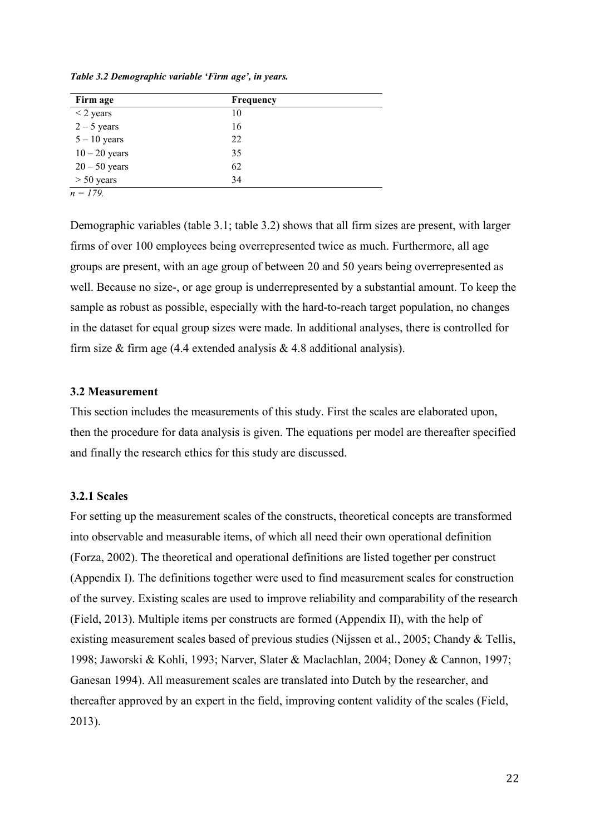| Firm age        | Frequency |  |
|-----------------|-----------|--|
| $<$ 2 years     | 10        |  |
| $2 - 5$ years   | 16        |  |
| $5 - 10$ years  | 22        |  |
| $10 - 20$ years | 35        |  |
| $20 - 50$ years | 62        |  |
| $> 50$ years    | 34        |  |

*Table 3.2 Demographic variable 'Firm age', in years.*

*n = 179.*

Demographic variables (table 3.1; table 3.2) shows that all firm sizes are present, with larger firms of over 100 employees being overrepresented twice as much. Furthermore, all age groups are present, with an age group of between 20 and 50 years being overrepresented as well. Because no size-, or age group is underrepresented by a substantial amount. To keep the sample as robust as possible, especially with the hard-to-reach target population, no changes in the dataset for equal group sizes were made. In additional analyses, there is controlled for firm size  $&$  firm age (4.4 extended analysis  $&$  4.8 additional analysis).

#### <span id="page-28-0"></span>**3.2 Measurement**

This section includes the measurements of this study. First the scales are elaborated upon, then the procedure for data analysis is given. The equations per model are thereafter specified and finally the research ethics for this study are discussed.

#### <span id="page-28-1"></span>**3.2.1 Scales**

For setting up the measurement scales of the constructs, theoretical concepts are transformed into observable and measurable items, of which all need their own operational definition (Forza, 2002). The theoretical and operational definitions are listed together per construct (Appendix I). The definitions together were used to find measurement scales for construction of the survey. Existing scales are used to improve reliability and comparability of the research (Field, 2013). Multiple items per constructs are formed (Appendix II), with the help of existing measurement scales based of previous studies (Nijssen et al., 2005; Chandy & Tellis, 1998; Jaworski & Kohli, 1993; Narver, Slater & Maclachlan, 2004; Doney & Cannon, 1997; Ganesan 1994). All measurement scales are translated into Dutch by the researcher, and thereafter approved by an expert in the field, improving content validity of the scales (Field, 2013).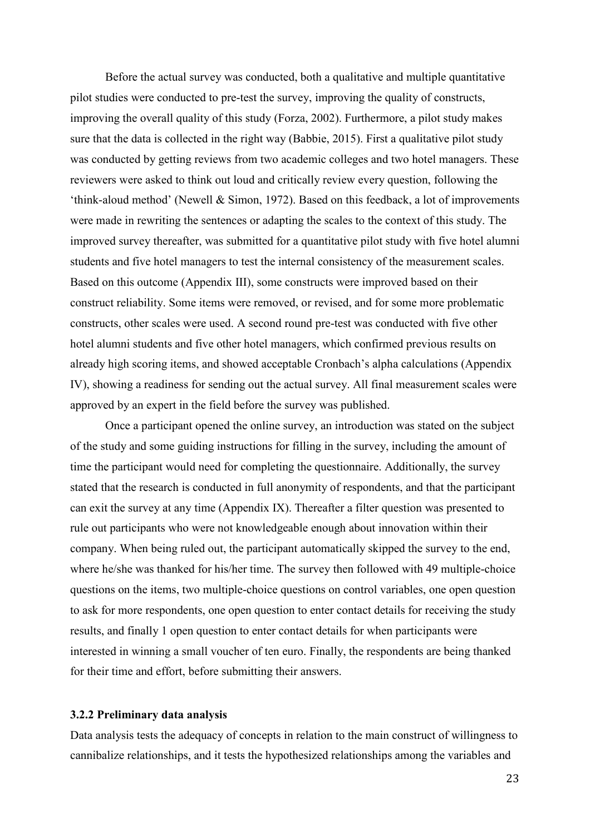Before the actual survey was conducted, both a qualitative and multiple quantitative pilot studies were conducted to pre-test the survey, improving the quality of constructs, improving the overall quality of this study (Forza, 2002). Furthermore, a pilot study makes sure that the data is collected in the right way (Babbie, 2015). First a qualitative pilot study was conducted by getting reviews from two academic colleges and two hotel managers. These reviewers were asked to think out loud and critically review every question, following the 'think-aloud method' (Newell & Simon, 1972). Based on this feedback, a lot of improvements were made in rewriting the sentences or adapting the scales to the context of this study. The improved survey thereafter, was submitted for a quantitative pilot study with five hotel alumni students and five hotel managers to test the internal consistency of the measurement scales. Based on this outcome (Appendix III), some constructs were improved based on their construct reliability. Some items were removed, or revised, and for some more problematic constructs, other scales were used. A second round pre-test was conducted with five other hotel alumni students and five other hotel managers, which confirmed previous results on already high scoring items, and showed acceptable Cronbach's alpha calculations (Appendix IV), showing a readiness for sending out the actual survey. All final measurement scales were approved by an expert in the field before the survey was published.

Once a participant opened the online survey, an introduction was stated on the subject of the study and some guiding instructions for filling in the survey, including the amount of time the participant would need for completing the questionnaire. Additionally, the survey stated that the research is conducted in full anonymity of respondents, and that the participant can exit the survey at any time (Appendix IX). Thereafter a filter question was presented to rule out participants who were not knowledgeable enough about innovation within their company. When being ruled out, the participant automatically skipped the survey to the end, where he/she was thanked for his/her time. The survey then followed with 49 multiple-choice questions on the items, two multiple-choice questions on control variables, one open question to ask for more respondents, one open question to enter contact details for receiving the study results, and finally 1 open question to enter contact details for when participants were interested in winning a small voucher of ten euro. Finally, the respondents are being thanked for their time and effort, before submitting their answers.

#### <span id="page-29-0"></span>**3.2.2 Preliminary data analysis**

Data analysis tests the adequacy of concepts in relation to the main construct of willingness to cannibalize relationships, and it tests the hypothesized relationships among the variables and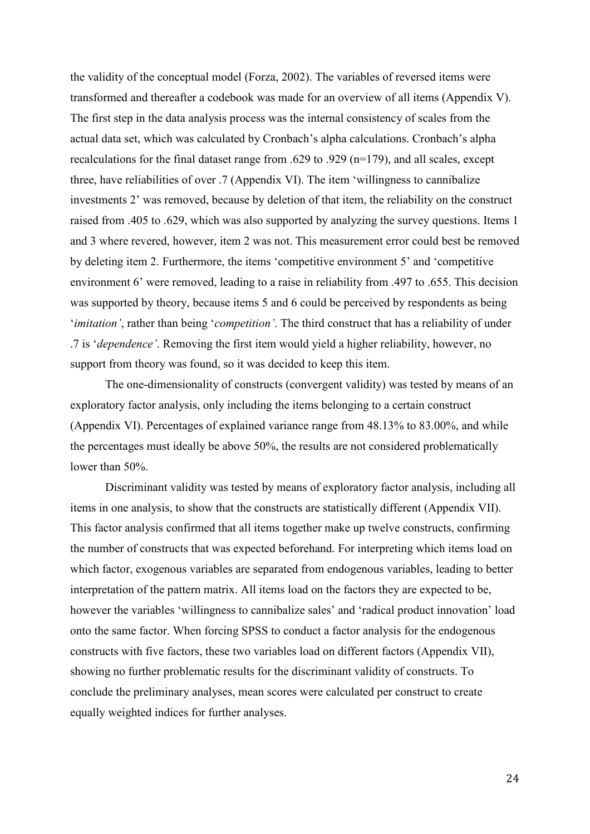the validity of the conceptual model (Forza, 2002). The variables of reversed items were transformed and thereafter a codebook was made for an overview of all items (Appendix V). The first step in the data analysis process was the internal consistency of scales from the actual data set, which was calculated by Cronbach's alpha calculations. Cronbach's alpha recalculations for the final dataset range from .629 to .929 (n=179), and all scales, except three, have reliabilities of over .7 (Appendix VI). The item 'willingness to cannibalize investments 2' was removed, because by deletion of that item, the reliability on the construct raised from .405 to .629, which was also supported by analyzing the survey questions. Items 1 and 3 where revered, however, item 2 was not. This measurement error could best be removed by deleting item 2. Furthermore, the items 'competitive environment 5' and 'competitive environment 6' were removed, leading to a raise in reliability from .497 to .655. This decision was supported by theory, because items 5 and 6 could be perceived by respondents as being '*imitation'*, rather than being '*competition'*. The third construct that has a reliability of under .7 is '*dependence'*. Removing the first item would yield a higher reliability, however, no support from theory was found, so it was decided to keep this item.

The one-dimensionality of constructs (convergent validity) was tested by means of an exploratory factor analysis, only including the items belonging to a certain construct (Appendix VI). Percentages of explained variance range from 48.13% to 83.00%, and while the percentages must ideally be above 50%, the results are not considered problematically lower than 50%.

Discriminant validity was tested by means of exploratory factor analysis, including all items in one analysis, to show that the constructs are statistically different (Appendix VII). This factor analysis confirmed that all items together make up twelve constructs, confirming the number of constructs that was expected beforehand. For interpreting which items load on which factor, exogenous variables are separated from endogenous variables, leading to better interpretation of the pattern matrix. All items load on the factors they are expected to be, however the variables 'willingness to cannibalize sales' and 'radical product innovation' load onto the same factor. When forcing SPSS to conduct a factor analysis for the endogenous constructs with five factors, these two variables load on different factors (Appendix VII), showing no further problematic results for the discriminant validity of constructs. To conclude the preliminary analyses, mean scores were calculated per construct to create equally weighted indices for further analyses.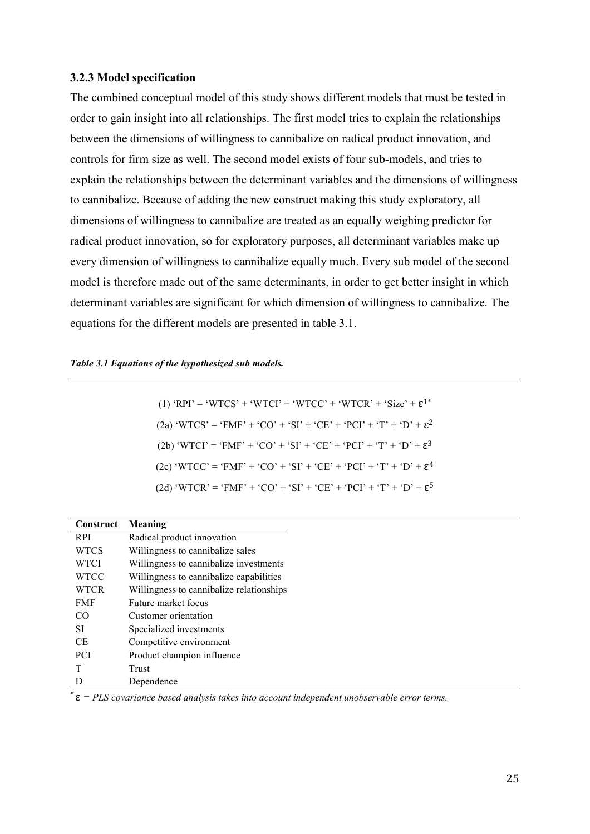#### <span id="page-31-0"></span>**3.2.3 Model specification**

The combined conceptual model of this study shows different models that must be tested in order to gain insight into all relationships. The first model tries to explain the relationships between the dimensions of willingness to cannibalize on radical product innovation, and controls for firm size as well. The second model exists of four sub-models, and tries to explain the relationships between the determinant variables and the dimensions of willingness to cannibalize. Because of adding the new construct making this study exploratory, all dimensions of willingness to cannibalize are treated as an equally weighing predictor for radical product innovation, so for exploratory purposes, all determinant variables make up every dimension of willingness to cannibalize equally much. Every sub model of the second model is therefore made out of the same determinants, in order to get better insight in which determinant variables are significant for which dimension of willingness to cannibalize. The equations for the different models are presented in table 3.1.

#### *Table 3.1 Equations of the hypothesized sub models.*

(1) 'RPI' = 'WTCS' + 'WTCI' + 'WTCC' + 'WTCR' + 'Size' + 
$$
\epsilon^{1*}
$$
  
\n(2a) 'WTCS' = 'FMF' + 'CO' + 'SI' + 'CE' + 'PCI' + 'T' + 'D' +  $\epsilon^{2}$   
\n(2b) 'WTCI' = 'FMF' + 'CO' + 'SI' + 'CE' + 'PCI' + 'T' + 'D' +  $\epsilon^{3}$   
\n(2c) 'WTCC' = 'FMF' + 'CO' + 'SI' + 'CE' + 'PCI' + 'T' + 'D' +  $\epsilon^{4}$   
\n(2d) 'WTCR' = 'FMF' + 'CO' + 'SI' + 'CE' + 'PCI' + 'T' + 'D' +  $\epsilon^{5}$ 

| Construct   | Meaning                                  |
|-------------|------------------------------------------|
| <b>RPI</b>  | Radical product innovation               |
| <b>WTCS</b> | Willingness to cannibalize sales         |
| <b>WTCI</b> | Willingness to cannibalize investments   |
| <b>WTCC</b> | Willingness to cannibalize capabilities  |
| <b>WTCR</b> | Willingness to cannibalize relationships |
| <b>FMF</b>  | Future market focus                      |
| CO          | Customer orientation                     |
| <b>SI</b>   | Specialized investments                  |
| СE          | Competitive environment                  |
| <b>PCI</b>  | Product champion influence               |
|             | Trust                                    |
| D           | Dependence                               |

 $\mathcal{E} = PLS$  covariance based analysis takes into account independent unobservable error terms.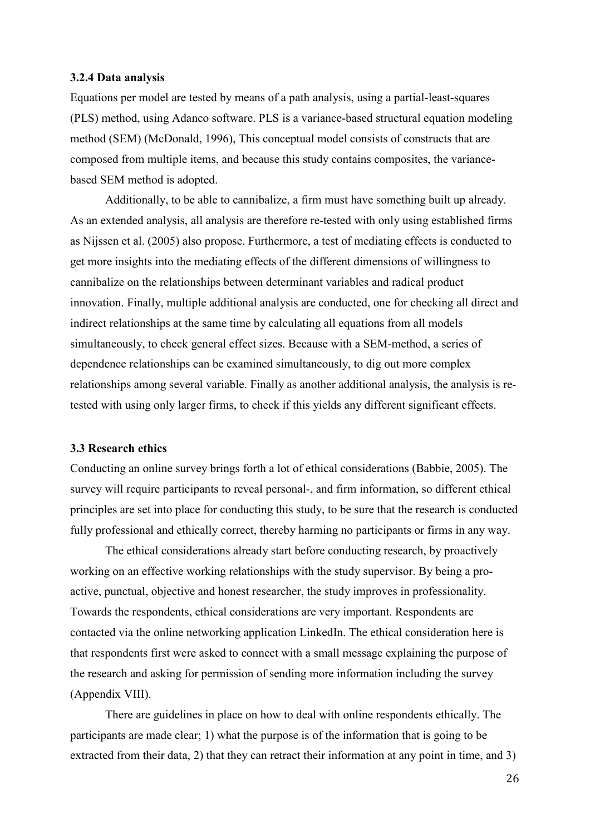#### <span id="page-32-0"></span>**3.2.4 Data analysis**

Equations per model are tested by means of a path analysis, using a partial-least-squares (PLS) method, using Adanco software. PLS is a variance-based structural equation modeling method (SEM) (McDonald, 1996), This conceptual model consists of constructs that are composed from multiple items, and because this study contains composites, the variancebased SEM method is adopted.

Additionally, to be able to cannibalize, a firm must have something built up already. As an extended analysis, all analysis are therefore re-tested with only using established firms as Nijssen et al. (2005) also propose. Furthermore, a test of mediating effects is conducted to get more insights into the mediating effects of the different dimensions of willingness to cannibalize on the relationships between determinant variables and radical product innovation. Finally, multiple additional analysis are conducted, one for checking all direct and indirect relationships at the same time by calculating all equations from all models simultaneously, to check general effect sizes. Because with a SEM-method, a series of dependence relationships can be examined simultaneously, to dig out more complex relationships among several variable. Finally as another additional analysis, the analysis is retested with using only larger firms, to check if this yields any different significant effects.

#### <span id="page-32-1"></span>**3.3 Research ethics**

Conducting an online survey brings forth a lot of ethical considerations (Babbie, 2005). The survey will require participants to reveal personal-, and firm information, so different ethical principles are set into place for conducting this study, to be sure that the research is conducted fully professional and ethically correct, thereby harming no participants or firms in any way.

The ethical considerations already start before conducting research, by proactively working on an effective working relationships with the study supervisor. By being a proactive, punctual, objective and honest researcher, the study improves in professionality. Towards the respondents, ethical considerations are very important. Respondents are contacted via the online networking application LinkedIn. The ethical consideration here is that respondents first were asked to connect with a small message explaining the purpose of the research and asking for permission of sending more information including the survey (Appendix VIII).

There are guidelines in place on how to deal with online respondents ethically. The participants are made clear; 1) what the purpose is of the information that is going to be extracted from their data, 2) that they can retract their information at any point in time, and 3)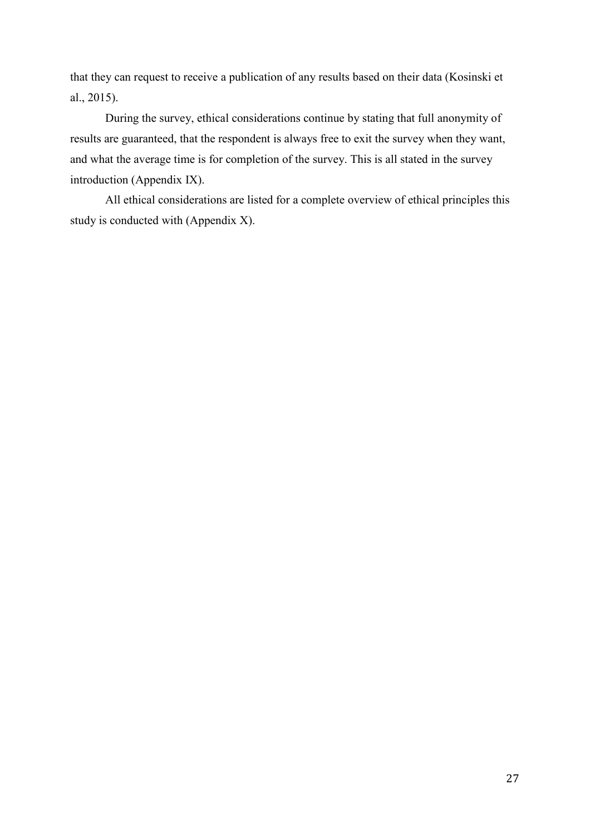that they can request to receive a publication of any results based on their data (Kosinski et al., 2015).

During the survey, ethical considerations continue by stating that full anonymity of results are guaranteed, that the respondent is always free to exit the survey when they want, and what the average time is for completion of the survey. This is all stated in the survey introduction (Appendix IX).

All ethical considerations are listed for a complete overview of ethical principles this study is conducted with (Appendix X).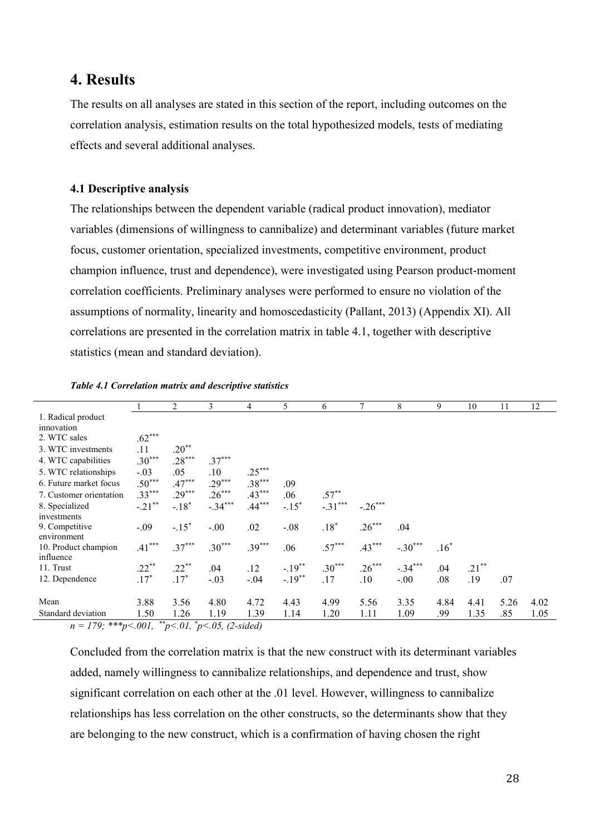### <span id="page-34-0"></span>**4. Results**

The results on all analyses are stated in this section of the report, including outcomes on the correlation analysis, estimation results on the total hypothesized models, tests of mediating effects and several additional analyses.

#### <span id="page-34-1"></span>**4.1 Descriptive analysis**

The relationships between the dependent variable (radical product innovation), mediator variables (dimensions of willingness to cannibalize) and determinant variables (future market focus, customer orientation, specialized investments, competitive environment, product champion influence, trust and dependence), were investigated using Pearson product-moment correlation coefficients. Preliminary analyses were performed to ensure no violation of the assumptions of normality, linearity and homoscedasticity (Pallant, 2013) (Appendix XI). All correlations are presented in the correlation matrix in table 4.1, together with descriptive statistics (mean and standard deviation).

|                         |           | 2        | 3         | 4        | 5        | 6         |           | 8         | 9      | 10       | 11   | 12   |
|-------------------------|-----------|----------|-----------|----------|----------|-----------|-----------|-----------|--------|----------|------|------|
| 1. Radical product      |           |          |           |          |          |           |           |           |        |          |      |      |
| innovation              |           |          |           |          |          |           |           |           |        |          |      |      |
| 2. WTC sales            | $.62***$  |          |           |          |          |           |           |           |        |          |      |      |
| 3. WTC investments      | .11       | $.20**$  |           |          |          |           |           |           |        |          |      |      |
| 4. WTC capabilities     | $.30***$  | $.28***$ | $.37***$  |          |          |           |           |           |        |          |      |      |
| 5. WTC relationships    | $-.03$    | .05      | .10       | $.25***$ |          |           |           |           |        |          |      |      |
| 6. Future market focus  | $.50***$  | $.47***$ | $.29***$  | $.38***$ | .09      |           |           |           |        |          |      |      |
| 7. Customer orientation | $.33***$  | $.29***$ | $.26***$  | $.43***$ | .06      | $.57***$  |           |           |        |          |      |      |
| 8. Specialized          | $-.21$ ** | $-.18*$  | $-.34***$ | $.44***$ | $-.15*$  | $-.31***$ | $-.26***$ |           |        |          |      |      |
| investments             |           |          |           |          |          |           |           |           |        |          |      |      |
| 9. Competitive          | $-.09$    | $-.15*$  | $-.00$    | .02      | $-.08$   | $.18*$    | $.26***$  | .04       |        |          |      |      |
| environment             |           |          |           |          |          |           |           |           |        |          |      |      |
| 10. Product champion    | $.41***$  | $.37***$ | $.30***$  | $.39***$ | .06      | $.57***$  | $.43***$  | $-.30***$ | $.16*$ |          |      |      |
| influence               |           |          |           |          |          |           |           |           |        |          |      |      |
| 11. Trust               | $.22***$  | $.22***$ | .04       | .12      | $-.19**$ | $.30***$  | $.26***$  | $-.34***$ | .04    | $.21***$ |      |      |
| 12. Dependence          | $.17*$    | $.17*$   | $-.03$    | $-.04$   | $-.19**$ | .17       | .10       | $-.00$    | .08    | .19      | .07  |      |
|                         |           |          |           |          |          |           |           |           |        |          |      |      |
| Mean                    | 3.88      | 3.56     | 4.80      | 4.72     | 4.43     | 4.99      | 5.56      | 3.35      | 4.84   | 4.41     | 5.26 | 4.02 |
| Standard deviation      | 1.50      | 1.26     | 1.19      | 1.39     | 1.14     | 1.20      | 1.11      | 1.09      | .99    | 1.35     | .85  | 1.05 |

*n = 179; \*\*\*p<.001, \*\*p<.01, \* p<.05, (2-sided)*

Concluded from the correlation matrix is that the new construct with its determinant variables added, namely willingness to cannibalize relationships, and dependence and trust, show significant correlation on each other at the .01 level. However, willingness to cannibalize relationships has less correlation on the other constructs, so the determinants show that they are belonging to the new construct, which is a confirmation of having chosen the right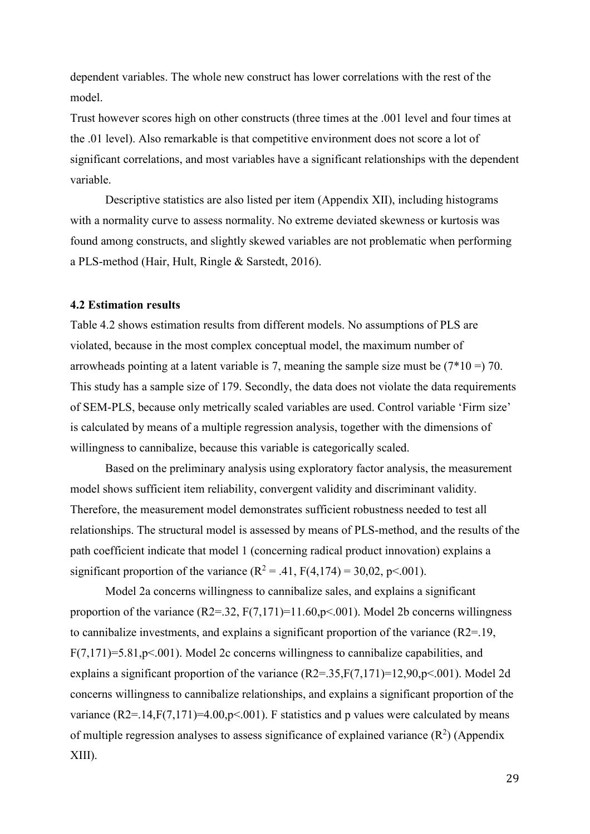dependent variables. The whole new construct has lower correlations with the rest of the model.

Trust however scores high on other constructs (three times at the .001 level and four times at the .01 level). Also remarkable is that competitive environment does not score a lot of significant correlations, and most variables have a significant relationships with the dependent variable.

Descriptive statistics are also listed per item (Appendix XII), including histograms with a normality curve to assess normality. No extreme deviated skewness or kurtosis was found among constructs, and slightly skewed variables are not problematic when performing a PLS-method (Hair, Hult, Ringle & Sarstedt, 2016).

#### <span id="page-35-0"></span>**4.2 Estimation results**

Table 4.2 shows estimation results from different models. No assumptions of PLS are violated, because in the most complex conceptual model, the maximum number of arrowheads pointing at a latent variable is 7, meaning the sample size must be  $(7*10 = 70$ . This study has a sample size of 179. Secondly, the data does not violate the data requirements of SEM-PLS, because only metrically scaled variables are used. Control variable 'Firm size' is calculated by means of a multiple regression analysis, together with the dimensions of willingness to cannibalize, because this variable is categorically scaled.

Based on the preliminary analysis using exploratory factor analysis, the measurement model shows sufficient item reliability, convergent validity and discriminant validity. Therefore, the measurement model demonstrates sufficient robustness needed to test all relationships. The structural model is assessed by means of PLS-method, and the results of the path coefficient indicate that model 1 (concerning radical product innovation) explains a significant proportion of the variance  $(R^2 = .41, F(4,174) = 30,02, p < .001)$ .

Model 2a concerns willingness to cannibalize sales, and explains a significant proportion of the variance  $(R2=32, F(7,171)=11.60, p<.001)$ . Model 2b concerns willingness to cannibalize investments, and explains a significant proportion of the variance (R2=.19,  $F(7,171)=5.81, p<.001$ ). Model 2c concerns willingness to cannibalize capabilities, and explains a significant proportion of the variance  $(R2=35,F(7,171)=12,90,p<.001)$ . Model 2d concerns willingness to cannibalize relationships, and explains a significant proportion of the variance  $(R2=14, F(7,171)=4.00, p<0.01)$ . F statistics and p values were calculated by means of multiple regression analyses to assess significance of explained variance  $(R^2)$  (Appendix XIII).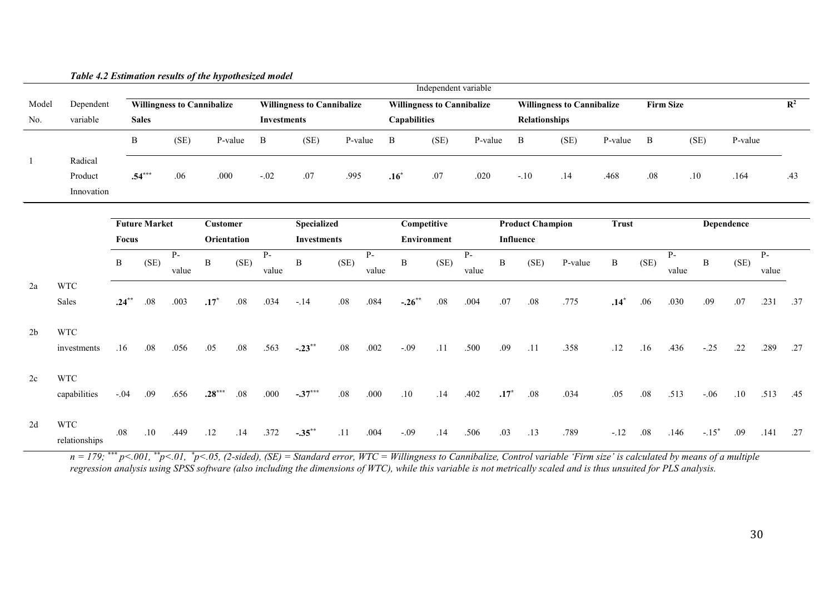|                | Table 4.2 Estimation results of the hypothesized model |              |                                                                                                             |               |                 |         |                    |                    |                                                       |               |                     |                    |                      |              |                         |         |                |              |               |              |            |               |     |
|----------------|--------------------------------------------------------|--------------|-------------------------------------------------------------------------------------------------------------|---------------|-----------------|---------|--------------------|--------------------|-------------------------------------------------------|---------------|---------------------|--------------------|----------------------|--------------|-------------------------|---------|----------------|--------------|---------------|--------------|------------|---------------|-----|
|                |                                                        |              |                                                                                                             |               |                 |         |                    |                    |                                                       |               |                     |                    | Independent variable |              |                         |         |                |              |               |              |            |               |     |
| Model          | Dependent                                              |              | <b>Willingness to Cannibalize</b><br><b>Willingness to Cannibalize</b><br><b>Willingness to Cannibalize</b> |               |                 |         |                    |                    | <b>Firm Size</b><br><b>Willingness to Cannibalize</b> |               |                     |                    |                      |              |                         |         | $\mathbf{R}^2$ |              |               |              |            |               |     |
| No.            | variable                                               |              | <b>Sales</b>                                                                                                |               |                 |         | <b>Investments</b> |                    |                                                       |               | <b>Capabilities</b> |                    |                      |              | Relationships           |         |                |              |               |              |            |               |     |
|                |                                                        | $\, {\bf B}$ |                                                                                                             | (SE)          |                 | P-value | B                  | (SE)               |                                                       | P-value       | $\, {\bf B}$        | (SE)               | P-value              |              | $\, {\bf B}$            | (SE)    | P-value        | $\, {\bf B}$ |               | (SE)         | P-value    |               |     |
| $\mathbf{1}$   | Radical                                                |              |                                                                                                             |               |                 |         |                    |                    |                                                       |               |                     |                    |                      |              |                         |         |                |              |               |              |            |               |     |
|                | Product                                                |              | $.54***$                                                                                                    | .06           | .000            |         | $-.02$             | .07                | .995                                                  |               | $.16*$              | .07                | .020                 |              | $-.10$                  | .14     | .468           | .08          |               | .10          | .164       |               | .43 |
|                | Innovation                                             |              |                                                                                                             |               |                 |         |                    |                    |                                                       |               |                     |                    |                      |              |                         |         |                |              |               |              |            |               |     |
|                |                                                        |              | <b>Future Market</b>                                                                                        |               | <b>Customer</b> |         |                    | <b>Specialized</b> |                                                       |               | Competitive         |                    |                      |              | <b>Product Champion</b> |         | <b>Trust</b>   |              |               |              | Dependence |               |     |
|                |                                                        | Focus        |                                                                                                             |               | Orientation     |         |                    | <b>Investments</b> |                                                       |               |                     | <b>Environment</b> |                      |              | Influence               |         |                |              |               |              |            |               |     |
|                |                                                        | B            | (SE)                                                                                                        | $P-$<br>value | B               | (SE)    | $P -$<br>value     | $\, {\bf B}$       | (SE)                                                  | $P-$<br>value | $\, {\bf B}$        | (SE)               | $P-$<br>value        | $\, {\bf B}$ | (SE)                    | P-value | $\, {\bf B}$   | (SE)         | $P-$<br>value | $\, {\bf B}$ | (SE)       | $P-$<br>value |     |
| 2a             | <b>WTC</b>                                             |              |                                                                                                             |               |                 |         |                    |                    |                                                       |               |                     |                    |                      |              |                         |         |                |              |               |              |            |               |     |
|                | Sales                                                  | $.24***$     | $.08\,$                                                                                                     | .003          | $.17*$          | $.08\,$ | .034               | $-.14$             | $.08\,$                                               | .084          | $-.26***$           | $.08\,$            | .004                 | .07          | $.08\,$                 | .775    | $.14*$         | .06          | .030          | .09          | .07        | .231          | .37 |
| 2 <sub>b</sub> | <b>WTC</b>                                             |              |                                                                                                             |               |                 |         |                    |                    |                                                       |               |                     |                    |                      |              |                         |         |                |              |               |              |            |               |     |
|                | investments                                            | .16          | .08                                                                                                         | .056          | .05             | .08     | .563               | $-.23***$          | .08                                                   | .002          | $-.09$              | .11                | .500                 | .09          | .11                     | .358    | .12            | .16          | .436          | $-.25$       | .22        | .289          | .27 |
| 2c             | <b>WTC</b>                                             |              |                                                                                                             |               |                 |         |                    |                    |                                                       |               |                     |                    |                      |              |                         |         |                |              |               |              |            |               |     |
|                | capabilities                                           | $-.04$       | .09                                                                                                         | .656          | $.28***$        | .08     | .000               | $-.37***$          | $.08\,$                                               | .000          | .10                 | .14                | .402                 | $.17*$       | $.08\,$                 | .034    | .05            | .08          | .513          | $-.06$       | .10        | .513          | .45 |
| 2d             | <b>WTC</b><br>relationships                            | .08          | .10                                                                                                         | .449          | .12             | .14     | .372               | $-.35***$          | .11                                                   | .004          | $-.09$              | .14                | .506                 | .03          | .13                     | .789    | $-.12$         | .08          | .146          | $-.15*$      | .09        | .141          | .27 |

*n = 179; \*\*\* p<.001, \*\*p<.01, \* p<.05, (2-sided), (SE) = Standard error, WTC = Willingness to Cannibalize, Control variable 'Firm size' is calculated by means of a multiple regression analysis using SPSS software (also including the dimensions of WTC), while this variable is not metrically scaled and is thus unsuited for PLS analysis.*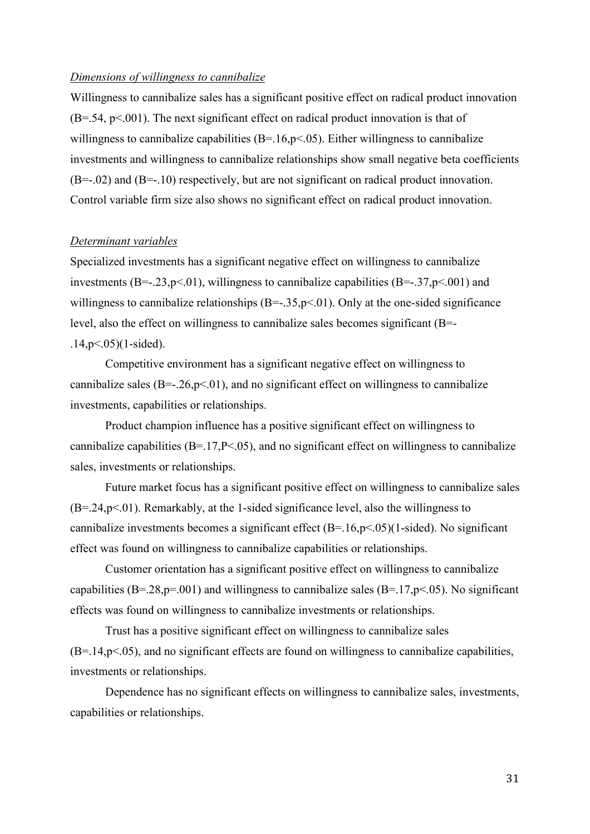#### *Dimensions of willingness to cannibalize*

Willingness to cannibalize sales has a significant positive effect on radical product innovation  $(B=.54, p<.001)$ . The next significant effect on radical product innovation is that of willingness to cannibalize capabilities  $(B=.16, p<.05)$ . Either willingness to cannibalize investments and willingness to cannibalize relationships show small negative beta coefficients (B=-.02) and (B=-.10) respectively, but are not significant on radical product innovation. Control variable firm size also shows no significant effect on radical product innovation.

#### *Determinant variables*

Specialized investments has a significant negative effect on willingness to cannibalize investments (B= $-.23$ ,p<.01), willingness to cannibalize capabilities (B= $-.37$ ,p<.001) and willingness to cannibalize relationships  $(B=-.35, p<.01)$ . Only at the one-sided significance level, also the effect on willingness to cannibalize sales becomes significant (B=-  $.14, p < .05$ )(1-sided).

Competitive environment has a significant negative effect on willingness to cannibalize sales ( $B=-.26$ ,  $p<-01$ ), and no significant effect on willingness to cannibalize investments, capabilities or relationships.

Product champion influence has a positive significant effect on willingness to cannibalize capabilities (B=.17,P<.05), and no significant effect on willingness to cannibalize sales, investments or relationships.

Future market focus has a significant positive effect on willingness to cannibalize sales  $(B=.24, p<.01)$ . Remarkably, at the 1-sided significance level, also the willingness to cannibalize investments becomes a significant effect  $(B=.16, p<.05)$  (1-sided). No significant effect was found on willingness to cannibalize capabilities or relationships.

Customer orientation has a significant positive effect on willingness to cannibalize capabilities (B=.28,p=.001) and willingness to cannibalize sales (B=.17,p<.05). No significant effects was found on willingness to cannibalize investments or relationships.

Trust has a positive significant effect on willingness to cannibalize sales  $(B=.14,p<.05)$ , and no significant effects are found on willingness to cannibalize capabilities, investments or relationships.

Dependence has no significant effects on willingness to cannibalize sales, investments, capabilities or relationships.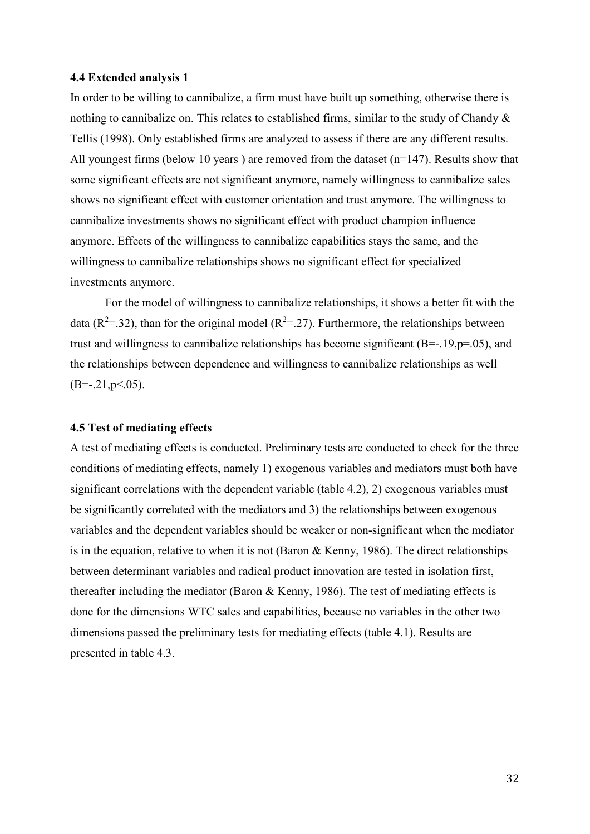#### <span id="page-38-0"></span>**4.4 Extended analysis 1**

In order to be willing to cannibalize, a firm must have built up something, otherwise there is nothing to cannibalize on. This relates to established firms, similar to the study of Chandy & Tellis (1998). Only established firms are analyzed to assess if there are any different results. All youngest firms (below 10 years) are removed from the dataset (n=147). Results show that some significant effects are not significant anymore, namely willingness to cannibalize sales shows no significant effect with customer orientation and trust anymore. The willingness to cannibalize investments shows no significant effect with product champion influence anymore. Effects of the willingness to cannibalize capabilities stays the same, and the willingness to cannibalize relationships shows no significant effect for specialized investments anymore.

For the model of willingness to cannibalize relationships, it shows a better fit with the data ( $\mathbb{R}^2$ =.32), than for the original model ( $\mathbb{R}^2$ =.27). Furthermore, the relationships between trust and willingness to cannibalize relationships has become significant (B=-.19,p=.05), and the relationships between dependence and willingness to cannibalize relationships as well  $(B=-.21, p<.05)$ .

#### <span id="page-38-1"></span>**4.5 Test of mediating effects**

A test of mediating effects is conducted. Preliminary tests are conducted to check for the three conditions of mediating effects, namely 1) exogenous variables and mediators must both have significant correlations with the dependent variable (table 4.2), 2) exogenous variables must be significantly correlated with the mediators and 3) the relationships between exogenous variables and the dependent variables should be weaker or non-significant when the mediator is in the equation, relative to when it is not (Baron & Kenny, 1986). The direct relationships between determinant variables and radical product innovation are tested in isolation first, thereafter including the mediator (Baron & Kenny, 1986). The test of mediating effects is done for the dimensions WTC sales and capabilities, because no variables in the other two dimensions passed the preliminary tests for mediating effects (table 4.1). Results are presented in table 4.3.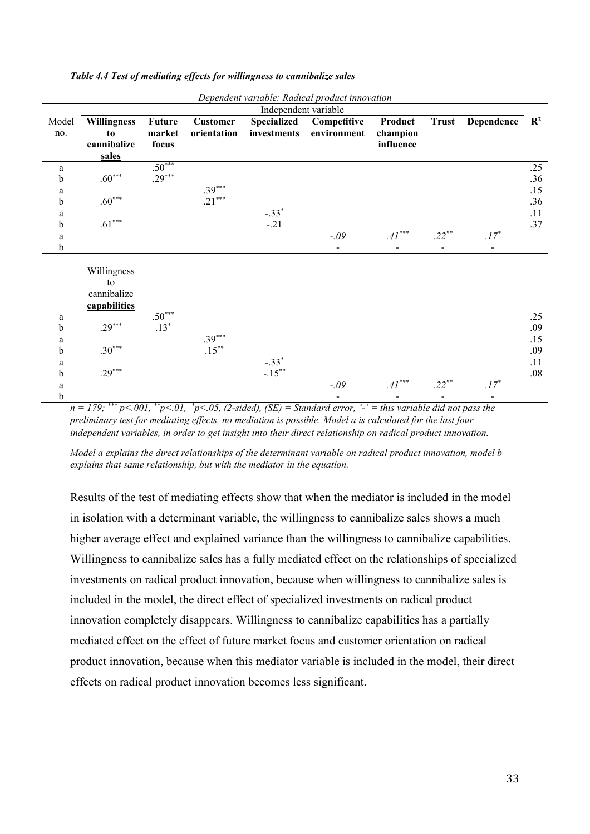|       |                    |               |                 |                      | Dependent variable: Radical product innovation |           |                          |                  |     |
|-------|--------------------|---------------|-----------------|----------------------|------------------------------------------------|-----------|--------------------------|------------------|-----|
|       |                    |               |                 | Independent variable |                                                |           |                          |                  |     |
| Model | <b>Willingness</b> | <b>Future</b> | <b>Customer</b> | Specialized          | Competitive                                    | Product   | <b>Trust</b>             | Dependence $R^2$ |     |
| no.   | to                 | market        | orientation     | investments          | environment                                    | champion  |                          |                  |     |
|       | cannibalize        | focus         |                 |                      |                                                | influence |                          |                  |     |
|       | sales              |               |                 |                      |                                                |           |                          |                  |     |
| a     |                    | $.50***$      |                 |                      |                                                |           |                          |                  | .25 |
| b     | $.60***$           | $.29***$      |                 |                      |                                                |           |                          |                  | .36 |
| a     |                    |               | $.39***$        |                      |                                                |           |                          |                  | .15 |
| b     | $.60***$           |               | $.21***$        |                      |                                                |           |                          |                  | .36 |
| a     |                    |               |                 | $-.33*$              |                                                |           |                          |                  | .11 |
| b     | $.61***$           |               |                 | $-.21$               |                                                |           |                          |                  | .37 |
| a     |                    |               |                 |                      | $-.09$                                         | $.41***$  | $.22***$                 | $.17*$           |     |
| b     |                    |               |                 |                      | $\blacksquare$                                 |           | $\blacksquare$           |                  |     |
|       |                    |               |                 |                      |                                                |           |                          |                  |     |
|       | Willingness        |               |                 |                      |                                                |           |                          |                  |     |
|       | to                 |               |                 |                      |                                                |           |                          |                  |     |
|       | cannibalize        |               |                 |                      |                                                |           |                          |                  |     |
|       | capabilities       |               |                 |                      |                                                |           |                          |                  |     |
| a     |                    | $.50***$      |                 |                      |                                                |           |                          |                  | .25 |
| b     | $.29***$           | $.13*$        |                 |                      |                                                |           |                          |                  | .09 |
| a     |                    |               | $.39***$        |                      |                                                |           |                          |                  | .15 |
| b     | $.30***$           |               | $.15***$        |                      |                                                |           |                          |                  | .09 |
| a     |                    |               |                 | $-.33*$              |                                                |           |                          |                  | .11 |
| b     | $.29***$           |               |                 | $-.15***$            |                                                |           |                          |                  | .08 |
| a     |                    |               |                 |                      | $-.09$                                         | $.41***$  | $.22***$                 | $.17*$           |     |
| b     |                    |               |                 |                      |                                                |           | $\overline{\phantom{a}}$ |                  |     |

*Table 4.4 Test of mediating effects for willingness to cannibalize sales*

*n = 179; \*\*\* p<.001, \*\*p<.01, \* p<.05, (2-sided), (SE) = Standard error, '-' = this variable did not pass the preliminary test for mediating effects, no mediation is possible. Model a is calculated for the last four independent variables, in order to get insight into their direct relationship on radical product innovation.*

*Model a explains the direct relationships of the determinant variable on radical product innovation, model b explains that same relationship, but with the mediator in the equation.* 

Results of the test of mediating effects show that when the mediator is included in the model in isolation with a determinant variable, the willingness to cannibalize sales shows a much higher average effect and explained variance than the willingness to cannibalize capabilities. Willingness to cannibalize sales has a fully mediated effect on the relationships of specialized investments on radical product innovation, because when willingness to cannibalize sales is included in the model, the direct effect of specialized investments on radical product innovation completely disappears. Willingness to cannibalize capabilities has a partially mediated effect on the effect of future market focus and customer orientation on radical product innovation, because when this mediator variable is included in the model, their direct effects on radical product innovation becomes less significant.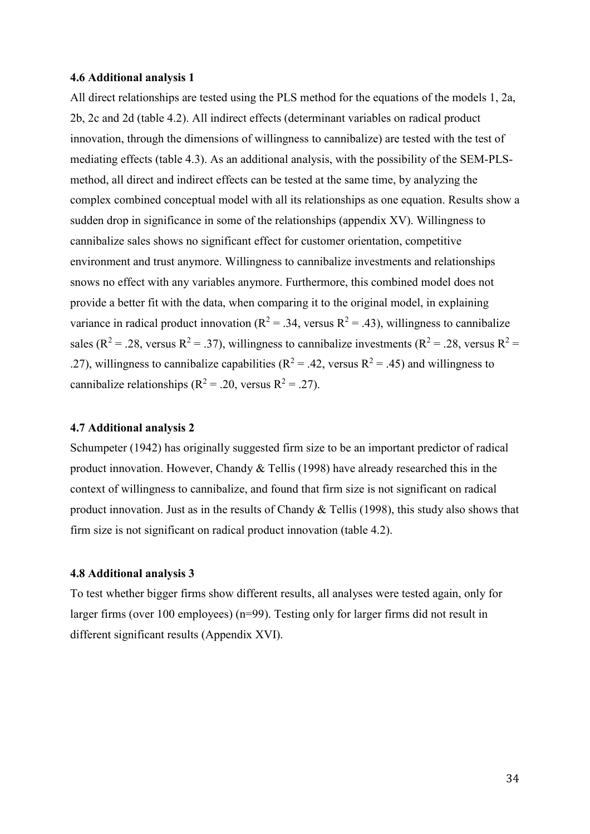#### <span id="page-40-0"></span>**4.6 Additional analysis 1**

All direct relationships are tested using the PLS method for the equations of the models 1, 2a, 2b, 2c and 2d (table 4.2). All indirect effects (determinant variables on radical product innovation, through the dimensions of willingness to cannibalize) are tested with the test of mediating effects (table 4.3). As an additional analysis, with the possibility of the SEM-PLSmethod, all direct and indirect effects can be tested at the same time, by analyzing the complex combined conceptual model with all its relationships as one equation. Results show a sudden drop in significance in some of the relationships (appendix XV). Willingness to cannibalize sales shows no significant effect for customer orientation, competitive environment and trust anymore. Willingness to cannibalize investments and relationships snows no effect with any variables anymore. Furthermore, this combined model does not provide a better fit with the data, when comparing it to the original model, in explaining variance in radical product innovation ( $R^2 = .34$ , versus  $R^2 = .43$ ), willingness to cannibalize sales ( $R^2 = .28$ , versus  $R^2 = .37$ ), willingness to cannibalize investments ( $R^2 = .28$ , versus  $R^2 =$ .27), willingness to cannibalize capabilities ( $R^2 = .42$ , versus  $R^2 = .45$ ) and willingness to cannibalize relationships ( $R^2$  = .20, versus  $R^2$  = .27).

#### <span id="page-40-1"></span>**4.7 Additional analysis 2**

Schumpeter (1942) has originally suggested firm size to be an important predictor of radical product innovation. However, Chandy & Tellis (1998) have already researched this in the context of willingness to cannibalize, and found that firm size is not significant on radical product innovation. Just as in the results of Chandy & Tellis (1998), this study also shows that firm size is not significant on radical product innovation (table 4.2).

#### <span id="page-40-2"></span>**4.8 Additional analysis 3**

To test whether bigger firms show different results, all analyses were tested again, only for larger firms (over 100 employees) (n=99). Testing only for larger firms did not result in different significant results (Appendix XVI).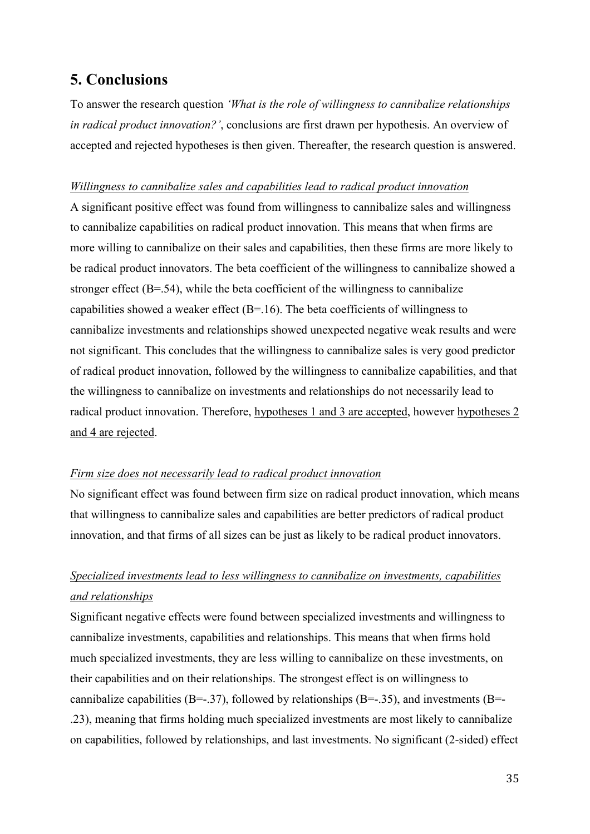# <span id="page-41-0"></span>**5. Conclusions**

To answer the research question *'What is the role of willingness to cannibalize relationships in radical product innovation?'*, conclusions are first drawn per hypothesis. An overview of accepted and rejected hypotheses is then given. Thereafter, the research question is answered.

#### *Willingness to cannibalize sales and capabilities lead to radical product innovation*

A significant positive effect was found from willingness to cannibalize sales and willingness to cannibalize capabilities on radical product innovation. This means that when firms are more willing to cannibalize on their sales and capabilities, then these firms are more likely to be radical product innovators. The beta coefficient of the willingness to cannibalize showed a stronger effect (B=.54), while the beta coefficient of the willingness to cannibalize capabilities showed a weaker effect (B=.16). The beta coefficients of willingness to cannibalize investments and relationships showed unexpected negative weak results and were not significant. This concludes that the willingness to cannibalize sales is very good predictor of radical product innovation, followed by the willingness to cannibalize capabilities, and that the willingness to cannibalize on investments and relationships do not necessarily lead to radical product innovation. Therefore, hypotheses 1 and 3 are accepted, however hypotheses 2 and 4 are rejected.

#### *Firm size does not necessarily lead to radical product innovation*

No significant effect was found between firm size on radical product innovation, which means that willingness to cannibalize sales and capabilities are better predictors of radical product innovation, and that firms of all sizes can be just as likely to be radical product innovators.

# *Specialized investments lead to less willingness to cannibalize on investments, capabilities and relationships*

Significant negative effects were found between specialized investments and willingness to cannibalize investments, capabilities and relationships. This means that when firms hold much specialized investments, they are less willing to cannibalize on these investments, on their capabilities and on their relationships. The strongest effect is on willingness to cannibalize capabilities (B=-.37), followed by relationships (B=-.35), and investments (B=-.23), meaning that firms holding much specialized investments are most likely to cannibalize on capabilities, followed by relationships, and last investments. No significant (2-sided) effect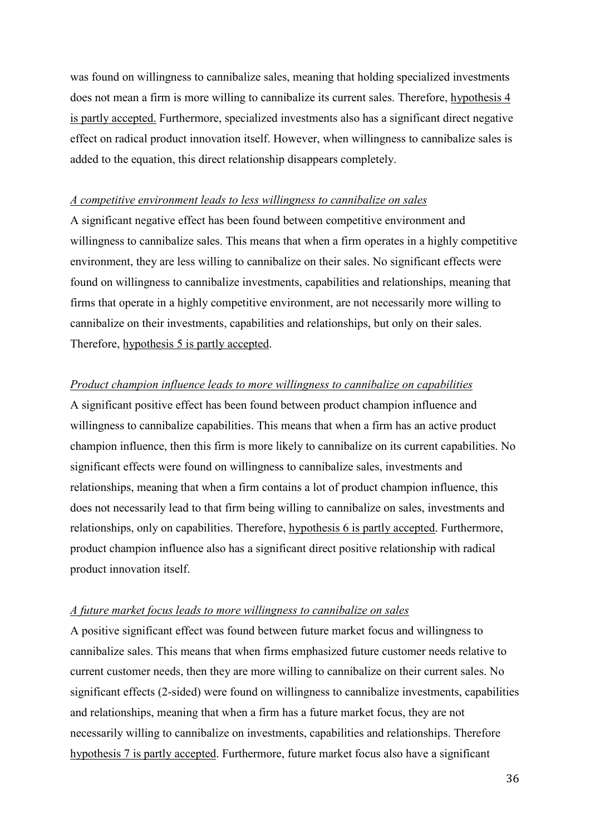was found on willingness to cannibalize sales, meaning that holding specialized investments does not mean a firm is more willing to cannibalize its current sales. Therefore, hypothesis 4 is partly accepted. Furthermore, specialized investments also has a significant direct negative effect on radical product innovation itself. However, when willingness to cannibalize sales is added to the equation, this direct relationship disappears completely.

#### *A competitive environment leads to less willingness to cannibalize on sales*

A significant negative effect has been found between competitive environment and willingness to cannibalize sales. This means that when a firm operates in a highly competitive environment, they are less willing to cannibalize on their sales. No significant effects were found on willingness to cannibalize investments, capabilities and relationships, meaning that firms that operate in a highly competitive environment, are not necessarily more willing to cannibalize on their investments, capabilities and relationships, but only on their sales. Therefore, hypothesis 5 is partly accepted.

#### *Product champion influence leads to more willingness to cannibalize on capabilities*

A significant positive effect has been found between product champion influence and willingness to cannibalize capabilities. This means that when a firm has an active product champion influence, then this firm is more likely to cannibalize on its current capabilities. No significant effects were found on willingness to cannibalize sales, investments and relationships, meaning that when a firm contains a lot of product champion influence, this does not necessarily lead to that firm being willing to cannibalize on sales, investments and relationships, only on capabilities. Therefore, hypothesis 6 is partly accepted. Furthermore, product champion influence also has a significant direct positive relationship with radical product innovation itself.

#### *A future market focus leads to more willingness to cannibalize on sales*

A positive significant effect was found between future market focus and willingness to cannibalize sales. This means that when firms emphasized future customer needs relative to current customer needs, then they are more willing to cannibalize on their current sales. No significant effects (2-sided) were found on willingness to cannibalize investments, capabilities and relationships, meaning that when a firm has a future market focus, they are not necessarily willing to cannibalize on investments, capabilities and relationships. Therefore hypothesis 7 is partly accepted. Furthermore, future market focus also have a significant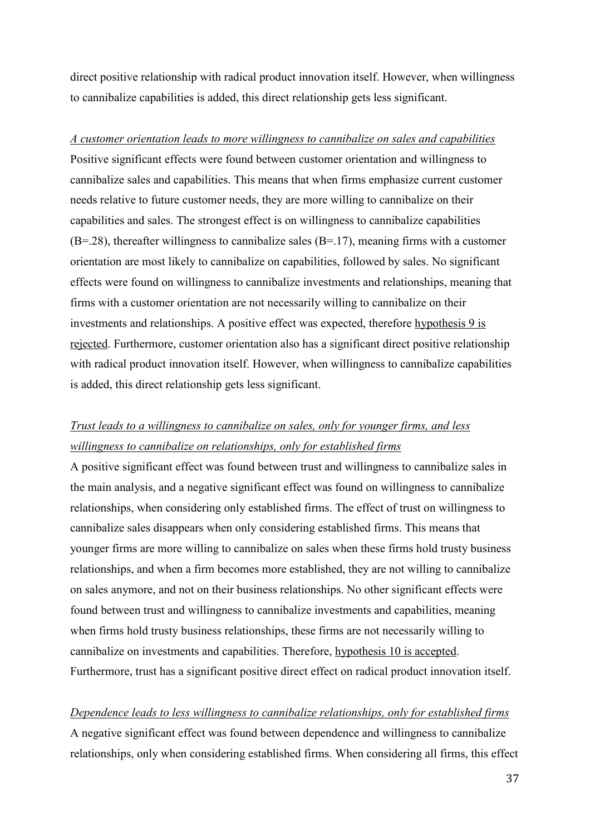direct positive relationship with radical product innovation itself. However, when willingness to cannibalize capabilities is added, this direct relationship gets less significant.

*A customer orientation leads to more willingness to cannibalize on sales and capabilities* Positive significant effects were found between customer orientation and willingness to cannibalize sales and capabilities. This means that when firms emphasize current customer needs relative to future customer needs, they are more willing to cannibalize on their capabilities and sales. The strongest effect is on willingness to cannibalize capabilities  $(B=.28)$ , thereafter willingness to cannibalize sales  $(B=.17)$ , meaning firms with a customer orientation are most likely to cannibalize on capabilities, followed by sales. No significant effects were found on willingness to cannibalize investments and relationships, meaning that firms with a customer orientation are not necessarily willing to cannibalize on their investments and relationships. A positive effect was expected, therefore hypothesis 9 is rejected. Furthermore, customer orientation also has a significant direct positive relationship with radical product innovation itself. However, when willingness to cannibalize capabilities is added, this direct relationship gets less significant.

# *Trust leads to a willingness to cannibalize on sales, only for younger firms, and less willingness to cannibalize on relationships, only for established firms*

A positive significant effect was found between trust and willingness to cannibalize sales in the main analysis, and a negative significant effect was found on willingness to cannibalize relationships, when considering only established firms. The effect of trust on willingness to cannibalize sales disappears when only considering established firms. This means that younger firms are more willing to cannibalize on sales when these firms hold trusty business relationships, and when a firm becomes more established, they are not willing to cannibalize on sales anymore, and not on their business relationships. No other significant effects were found between trust and willingness to cannibalize investments and capabilities, meaning when firms hold trusty business relationships, these firms are not necessarily willing to cannibalize on investments and capabilities. Therefore, hypothesis 10 is accepted. Furthermore, trust has a significant positive direct effect on radical product innovation itself.

#### *Dependence leads to less willingness to cannibalize relationships, only for established firms*

A negative significant effect was found between dependence and willingness to cannibalize relationships, only when considering established firms. When considering all firms, this effect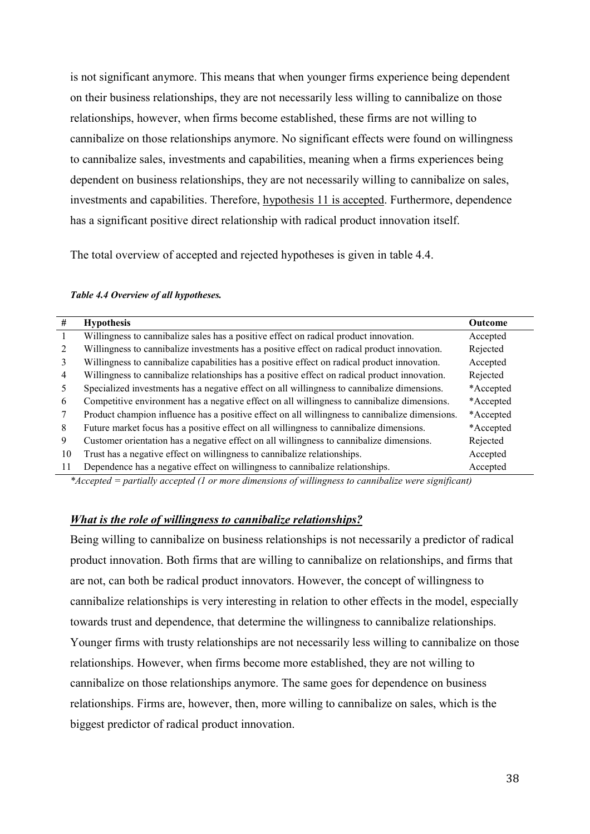is not significant anymore. This means that when younger firms experience being dependent on their business relationships, they are not necessarily less willing to cannibalize on those relationships, however, when firms become established, these firms are not willing to cannibalize on those relationships anymore. No significant effects were found on willingness to cannibalize sales, investments and capabilities, meaning when a firms experiences being dependent on business relationships, they are not necessarily willing to cannibalize on sales, investments and capabilities. Therefore, hypothesis 11 is accepted. Furthermore, dependence has a significant positive direct relationship with radical product innovation itself.

The total overview of accepted and rejected hypotheses is given in table 4.4.

#### *Table 4.4 Overview of all hypotheses.*

| #  | <b>Hypothesis</b>                                                                              | <b>Outcome</b> |
|----|------------------------------------------------------------------------------------------------|----------------|
|    | Willingness to cannibalize sales has a positive effect on radical product innovation.          | Accepted       |
|    | Willingness to cannibalize investments has a positive effect on radical product innovation.    | Rejected       |
| 3  | Willingness to cannibalize capabilities has a positive effect on radical product innovation.   | Accepted       |
| 4  | Willingness to cannibalize relationships has a positive effect on radical product innovation.  | Rejected       |
|    | Specialized investments has a negative effect on all willingness to cannibalize dimensions.    | *Accepted      |
| 6  | Competitive environment has a negative effect on all willingness to cannibalize dimensions.    | *Accepted      |
|    | Product champion influence has a positive effect on all willingness to cannibalize dimensions. | *Accepted      |
| 8  | Future market focus has a positive effect on all willingness to cannibalize dimensions.        | *Accepted      |
| 9  | Customer orientation has a negative effect on all willingness to cannibalize dimensions.       | Rejected       |
| 10 | Trust has a negative effect on willingness to cannibalize relationships.                       | Accepted       |
| 11 | Dependence has a negative effect on willingness to cannibalize relationships.                  | Accepted       |

*\*Accepted = partially accepted (1 or more dimensions of willingness to cannibalize were significant)*

#### *What is the role of willingness to cannibalize relationships?*

Being willing to cannibalize on business relationships is not necessarily a predictor of radical product innovation. Both firms that are willing to cannibalize on relationships, and firms that are not, can both be radical product innovators. However, the concept of willingness to cannibalize relationships is very interesting in relation to other effects in the model, especially towards trust and dependence, that determine the willingness to cannibalize relationships. Younger firms with trusty relationships are not necessarily less willing to cannibalize on those relationships. However, when firms become more established, they are not willing to cannibalize on those relationships anymore. The same goes for dependence on business relationships. Firms are, however, then, more willing to cannibalize on sales, which is the biggest predictor of radical product innovation.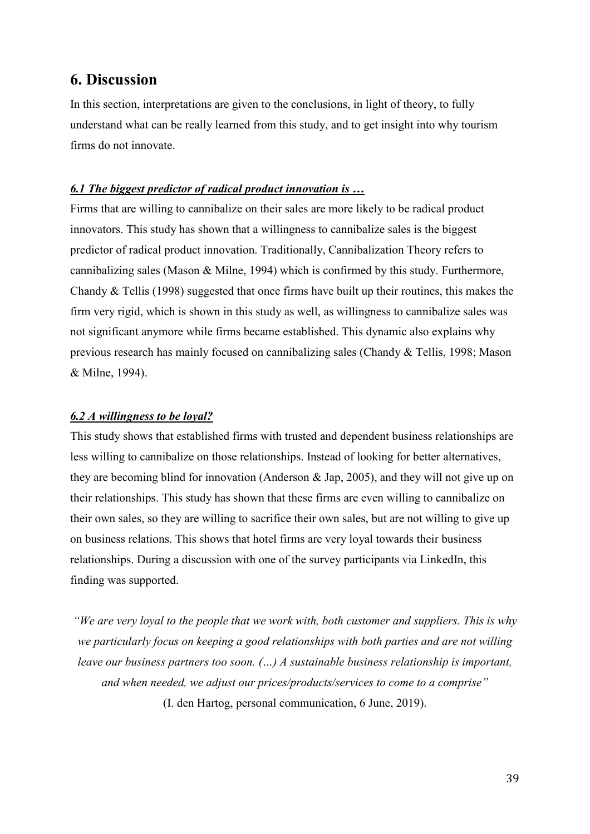# <span id="page-45-0"></span>**6. Discussion**

In this section, interpretations are given to the conclusions, in light of theory, to fully understand what can be really learned from this study, and to get insight into why tourism firms do not innovate.

#### <span id="page-45-1"></span>*6.1 The biggest predictor of radical product innovation is …*

Firms that are willing to cannibalize on their sales are more likely to be radical product innovators. This study has shown that a willingness to cannibalize sales is the biggest predictor of radical product innovation. Traditionally, Cannibalization Theory refers to cannibalizing sales (Mason & Milne, 1994) which is confirmed by this study. Furthermore, Chandy & Tellis (1998) suggested that once firms have built up their routines, this makes the firm very rigid, which is shown in this study as well, as willingness to cannibalize sales was not significant anymore while firms became established. This dynamic also explains why previous research has mainly focused on cannibalizing sales (Chandy & Tellis, 1998; Mason & Milne, 1994).

#### <span id="page-45-2"></span>*6.2 A willingness to be loyal?*

This study shows that established firms with trusted and dependent business relationships are less willing to cannibalize on those relationships. Instead of looking for better alternatives, they are becoming blind for innovation (Anderson & Jap, 2005), and they will not give up on their relationships. This study has shown that these firms are even willing to cannibalize on their own sales, so they are willing to sacrifice their own sales, but are not willing to give up on business relations. This shows that hotel firms are very loyal towards their business relationships. During a discussion with one of the survey participants via LinkedIn, this finding was supported.

*"We are very loyal to the people that we work with, both customer and suppliers. This is why we particularly focus on keeping a good relationships with both parties and are not willing leave our business partners too soon. (…) A sustainable business relationship is important, and when needed, we adjust our prices/products/services to come to a comprise"*

(I. den Hartog, personal communication, 6 June, 2019).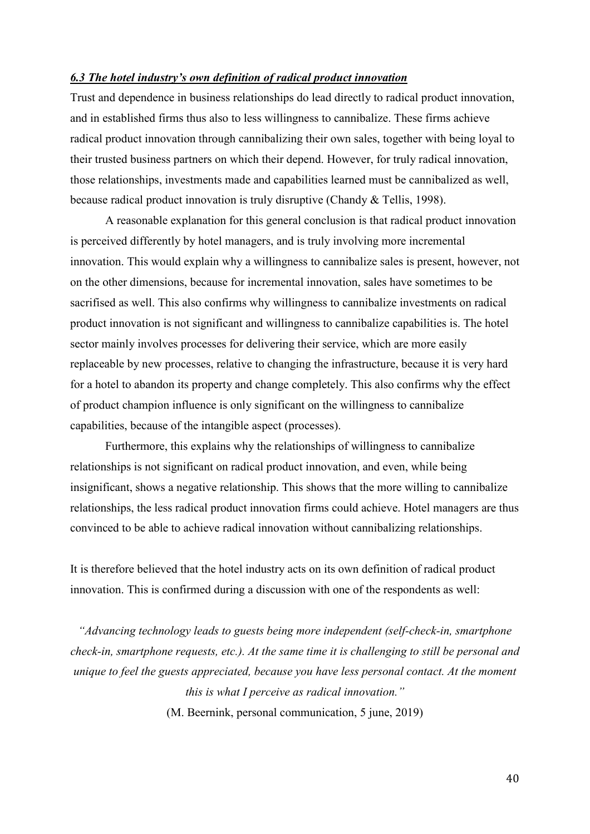#### <span id="page-46-0"></span>*6.3 The hotel industry's own definition of radical product innovation*

Trust and dependence in business relationships do lead directly to radical product innovation, and in established firms thus also to less willingness to cannibalize. These firms achieve radical product innovation through cannibalizing their own sales, together with being loyal to their trusted business partners on which their depend. However, for truly radical innovation, those relationships, investments made and capabilities learned must be cannibalized as well, because radical product innovation is truly disruptive (Chandy & Tellis, 1998).

A reasonable explanation for this general conclusion is that radical product innovation is perceived differently by hotel managers, and is truly involving more incremental innovation. This would explain why a willingness to cannibalize sales is present, however, not on the other dimensions, because for incremental innovation, sales have sometimes to be sacrifised as well. This also confirms why willingness to cannibalize investments on radical product innovation is not significant and willingness to cannibalize capabilities is. The hotel sector mainly involves processes for delivering their service, which are more easily replaceable by new processes, relative to changing the infrastructure, because it is very hard for a hotel to abandon its property and change completely. This also confirms why the effect of product champion influence is only significant on the willingness to cannibalize capabilities, because of the intangible aspect (processes).

Furthermore, this explains why the relationships of willingness to cannibalize relationships is not significant on radical product innovation, and even, while being insignificant, shows a negative relationship. This shows that the more willing to cannibalize relationships, the less radical product innovation firms could achieve. Hotel managers are thus convinced to be able to achieve radical innovation without cannibalizing relationships.

It is therefore believed that the hotel industry acts on its own definition of radical product innovation. This is confirmed during a discussion with one of the respondents as well:

*"Advancing technology leads to guests being more independent (self-check-in, smartphone check-in, smartphone requests, etc.). At the same time it is challenging to still be personal and unique to feel the guests appreciated, because you have less personal contact. At the moment this is what I perceive as radical innovation."*

(M. Beernink, personal communication, 5 june, 2019)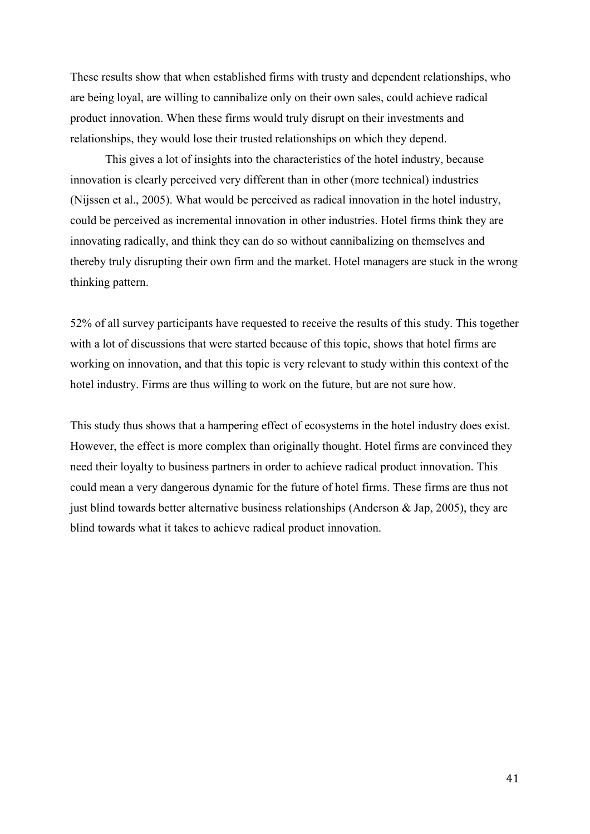These results show that when established firms with trusty and dependent relationships, who are being loyal, are willing to cannibalize only on their own sales, could achieve radical product innovation. When these firms would truly disrupt on their investments and relationships, they would lose their trusted relationships on which they depend.

This gives a lot of insights into the characteristics of the hotel industry, because innovation is clearly perceived very different than in other (more technical) industries (Nijssen et al., 2005). What would be perceived as radical innovation in the hotel industry, could be perceived as incremental innovation in other industries. Hotel firms think they are innovating radically, and think they can do so without cannibalizing on themselves and thereby truly disrupting their own firm and the market. Hotel managers are stuck in the wrong thinking pattern.

52% of all survey participants have requested to receive the results of this study. This together with a lot of discussions that were started because of this topic, shows that hotel firms are working on innovation, and that this topic is very relevant to study within this context of the hotel industry. Firms are thus willing to work on the future, but are not sure how.

This study thus shows that a hampering effect of ecosystems in the hotel industry does exist. However, the effect is more complex than originally thought. Hotel firms are convinced they need their loyalty to business partners in order to achieve radical product innovation. This could mean a very dangerous dynamic for the future of hotel firms. These firms are thus not just blind towards better alternative business relationships (Anderson & Jap, 2005), they are blind towards what it takes to achieve radical product innovation.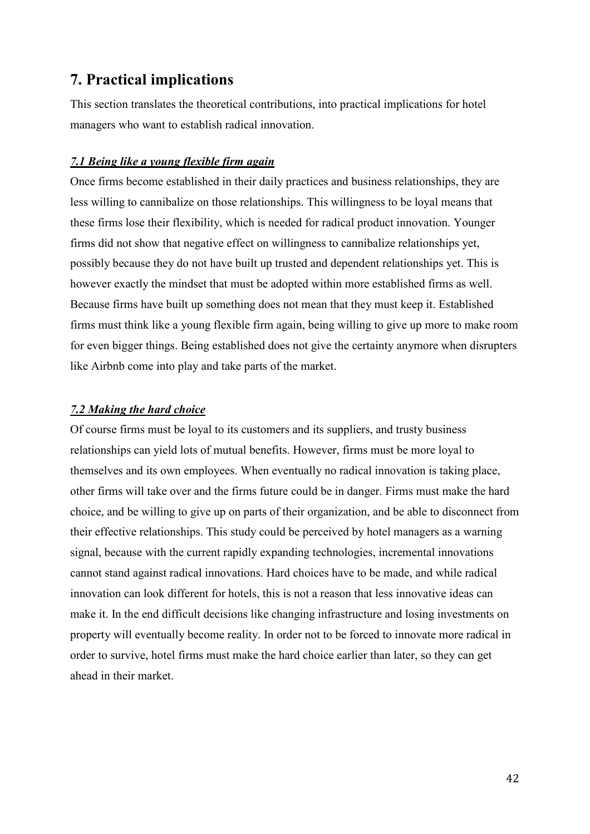# <span id="page-48-0"></span>**7. Practical implications**

This section translates the theoretical contributions, into practical implications for hotel managers who want to establish radical innovation.

#### <span id="page-48-1"></span>*7.1 Being like a young flexible firm again*

Once firms become established in their daily practices and business relationships, they are less willing to cannibalize on those relationships. This willingness to be loyal means that these firms lose their flexibility, which is needed for radical product innovation. Younger firms did not show that negative effect on willingness to cannibalize relationships yet, possibly because they do not have built up trusted and dependent relationships yet. This is however exactly the mindset that must be adopted within more established firms as well. Because firms have built up something does not mean that they must keep it. Established firms must think like a young flexible firm again, being willing to give up more to make room for even bigger things. Being established does not give the certainty anymore when disrupters like Airbnb come into play and take parts of the market.

#### <span id="page-48-2"></span>*7.2 Making the hard choice*

Of course firms must be loyal to its customers and its suppliers, and trusty business relationships can yield lots of mutual benefits. However, firms must be more loyal to themselves and its own employees. When eventually no radical innovation is taking place, other firms will take over and the firms future could be in danger. Firms must make the hard choice, and be willing to give up on parts of their organization, and be able to disconnect from their effective relationships. This study could be perceived by hotel managers as a warning signal, because with the current rapidly expanding technologies, incremental innovations cannot stand against radical innovations. Hard choices have to be made, and while radical innovation can look different for hotels, this is not a reason that less innovative ideas can make it. In the end difficult decisions like changing infrastructure and losing investments on property will eventually become reality. In order not to be forced to innovate more radical in order to survive, hotel firms must make the hard choice earlier than later, so they can get ahead in their market.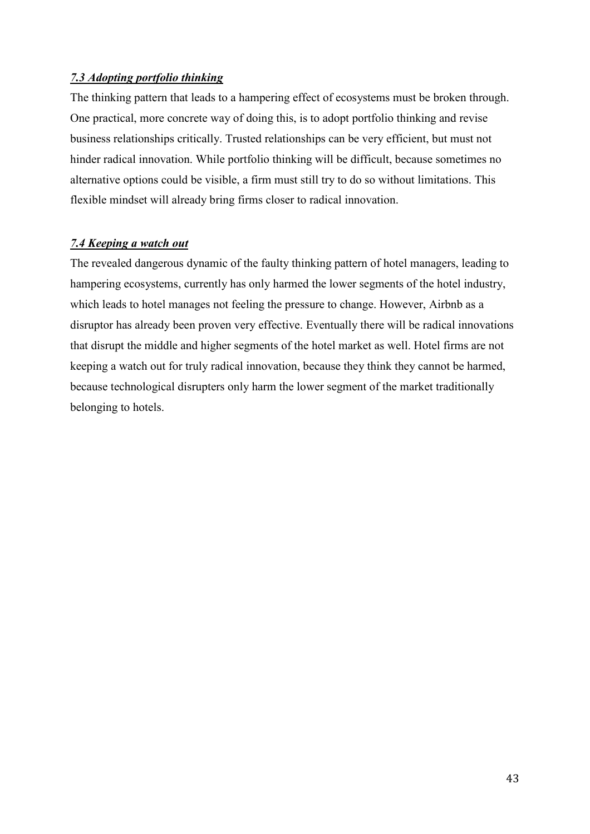#### <span id="page-49-0"></span>*7.3 Adopting portfolio thinking*

The thinking pattern that leads to a hampering effect of ecosystems must be broken through. One practical, more concrete way of doing this, is to adopt portfolio thinking and revise business relationships critically. Trusted relationships can be very efficient, but must not hinder radical innovation. While portfolio thinking will be difficult, because sometimes no alternative options could be visible, a firm must still try to do so without limitations. This flexible mindset will already bring firms closer to radical innovation.

#### <span id="page-49-1"></span>*7.4 Keeping a watch out*

The revealed dangerous dynamic of the faulty thinking pattern of hotel managers, leading to hampering ecosystems, currently has only harmed the lower segments of the hotel industry, which leads to hotel manages not feeling the pressure to change. However, Airbnb as a disruptor has already been proven very effective. Eventually there will be radical innovations that disrupt the middle and higher segments of the hotel market as well. Hotel firms are not keeping a watch out for truly radical innovation, because they think they cannot be harmed, because technological disrupters only harm the lower segment of the market traditionally belonging to hotels.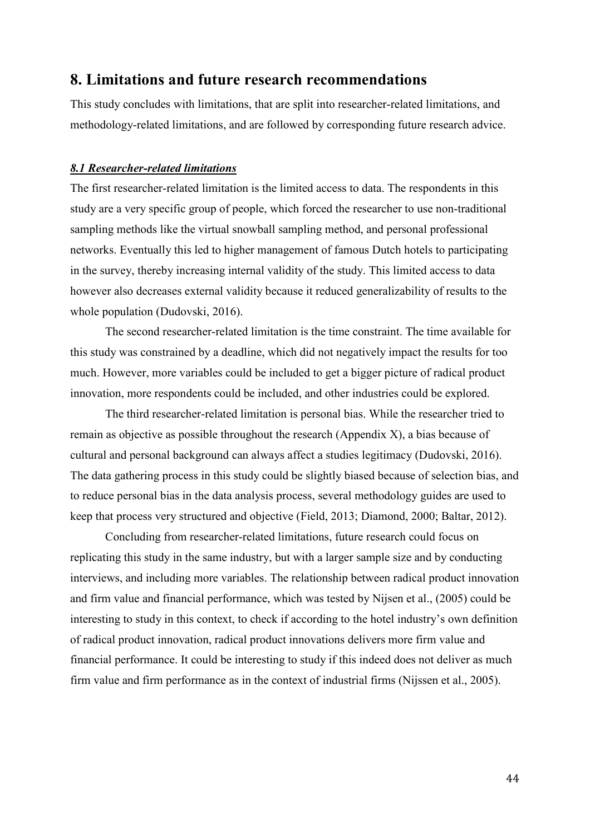### <span id="page-50-0"></span>**8. Limitations and future research recommendations**

This study concludes with limitations, that are split into researcher-related limitations, and methodology-related limitations, and are followed by corresponding future research advice.

#### <span id="page-50-1"></span>*8.1 Researcher-related limitations*

The first researcher-related limitation is the limited access to data. The respondents in this study are a very specific group of people, which forced the researcher to use non-traditional sampling methods like the virtual snowball sampling method, and personal professional networks. Eventually this led to higher management of famous Dutch hotels to participating in the survey, thereby increasing internal validity of the study. This limited access to data however also decreases external validity because it reduced generalizability of results to the whole population (Dudovski, 2016).

The second researcher-related limitation is the time constraint. The time available for this study was constrained by a deadline, which did not negatively impact the results for too much. However, more variables could be included to get a bigger picture of radical product innovation, more respondents could be included, and other industries could be explored.

The third researcher-related limitation is personal bias. While the researcher tried to remain as objective as possible throughout the research (Appendix X), a bias because of cultural and personal background can always affect a studies legitimacy (Dudovski, 2016). The data gathering process in this study could be slightly biased because of selection bias, and to reduce personal bias in the data analysis process, several methodology guides are used to keep that process very structured and objective (Field, 2013; Diamond, 2000; Baltar, 2012).

Concluding from researcher-related limitations, future research could focus on replicating this study in the same industry, but with a larger sample size and by conducting interviews, and including more variables. The relationship between radical product innovation and firm value and financial performance, which was tested by Nijsen et al., (2005) could be interesting to study in this context, to check if according to the hotel industry's own definition of radical product innovation, radical product innovations delivers more firm value and financial performance. It could be interesting to study if this indeed does not deliver as much firm value and firm performance as in the context of industrial firms (Nijssen et al., 2005).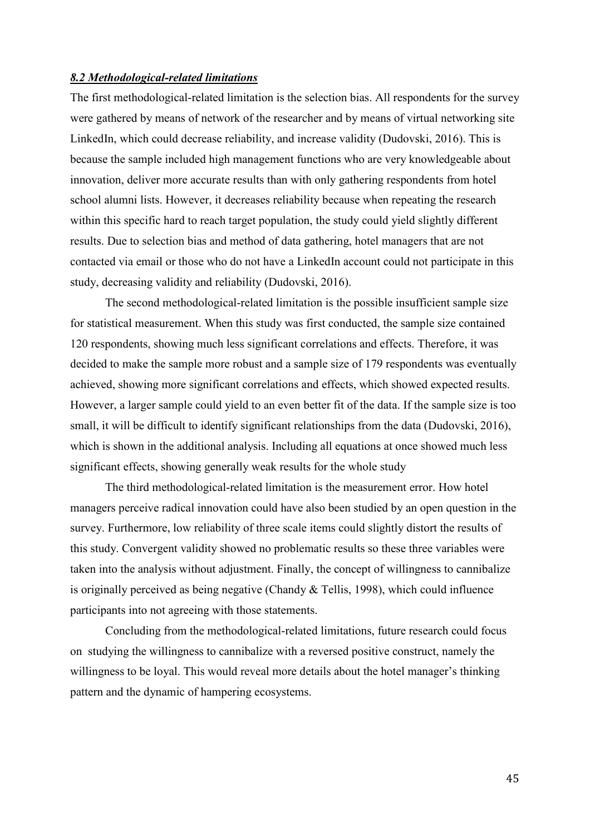#### <span id="page-51-0"></span>*8.2 Methodological-related limitations*

The first methodological-related limitation is the selection bias. All respondents for the survey were gathered by means of network of the researcher and by means of virtual networking site LinkedIn, which could decrease reliability, and increase validity (Dudovski, 2016). This is because the sample included high management functions who are very knowledgeable about innovation, deliver more accurate results than with only gathering respondents from hotel school alumni lists. However, it decreases reliability because when repeating the research within this specific hard to reach target population, the study could yield slightly different results. Due to selection bias and method of data gathering, hotel managers that are not contacted via email or those who do not have a LinkedIn account could not participate in this study, decreasing validity and reliability (Dudovski, 2016).

The second methodological-related limitation is the possible insufficient sample size for statistical measurement. When this study was first conducted, the sample size contained 120 respondents, showing much less significant correlations and effects. Therefore, it was decided to make the sample more robust and a sample size of 179 respondents was eventually achieved, showing more significant correlations and effects, which showed expected results. However, a larger sample could yield to an even better fit of the data. If the sample size is too small, it will be difficult to identify significant relationships from the data (Dudovski, 2016), which is shown in the additional analysis. Including all equations at once showed much less significant effects, showing generally weak results for the whole study

The third methodological-related limitation is the measurement error. How hotel managers perceive radical innovation could have also been studied by an open question in the survey. Furthermore, low reliability of three scale items could slightly distort the results of this study. Convergent validity showed no problematic results so these three variables were taken into the analysis without adjustment. Finally, the concept of willingness to cannibalize is originally perceived as being negative (Chandy & Tellis, 1998), which could influence participants into not agreeing with those statements.

Concluding from the methodological-related limitations, future research could focus on studying the willingness to cannibalize with a reversed positive construct, namely the willingness to be loyal. This would reveal more details about the hotel manager's thinking pattern and the dynamic of hampering ecosystems.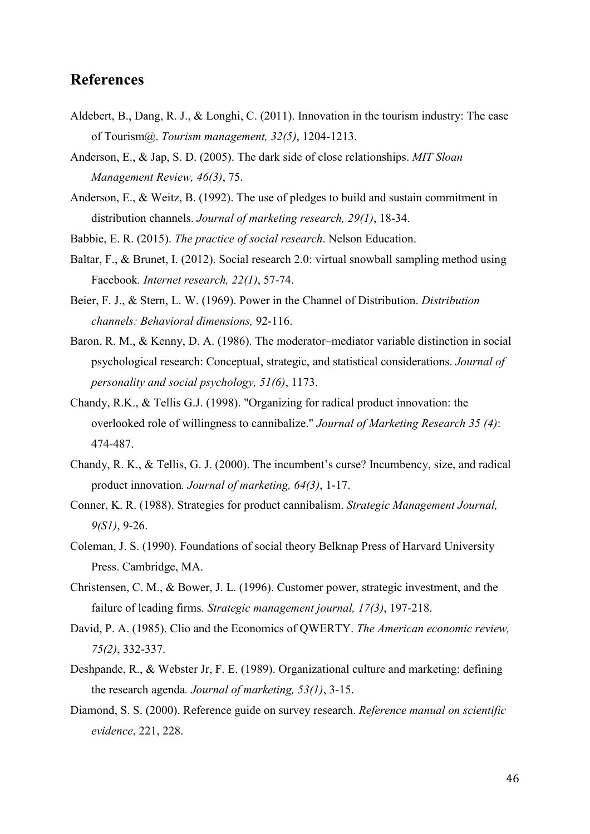# <span id="page-52-0"></span>**References**

- Aldebert, B., Dang, R. J., & Longhi, C. (2011). Innovation in the tourism industry: The case of Tourism@. *Tourism management, 32(5)*, 1204-1213.
- Anderson, E., & Jap, S. D. (2005). The dark side of close relationships. *MIT Sloan Management Review, 46(3)*, 75.
- Anderson, E., & Weitz, B. (1992). The use of pledges to build and sustain commitment in distribution channels. *Journal of marketing research, 29(1)*, 18-34.
- Babbie, E. R. (2015). *The practice of social research*. Nelson Education.
- Baltar, F., & Brunet, I. (2012). Social research 2.0: virtual snowball sampling method using Facebook*. Internet research, 22(1)*, 57-74.
- Beier, F. J., & Stern, L. W. (1969). Power in the Channel of Distribution. *Distribution channels: Behavioral dimensions,* 92-116.
- Baron, R. M., & Kenny, D. A. (1986). The moderator–mediator variable distinction in social psychological research: Conceptual, strategic, and statistical considerations. *Journal of personality and social psychology, 51(6)*, 1173.
- Chandy, R.K., & Tellis G.J. (1998). "Organizing for radical product innovation: the overlooked role of willingness to cannibalize." *Journal of Marketing Research 35 (4)*: 474-487.
- Chandy, R. K., & Tellis, G. J. (2000). The incumbent's curse? Incumbency, size, and radical product innovation*. Journal of marketing, 64(3)*, 1-17.
- Conner, K. R. (1988). Strategies for product cannibalism. *Strategic Management Journal, 9(S1)*, 9-26.
- Coleman, J. S. (1990). Foundations of social theory Belknap Press of Harvard University Press. Cambridge, MA.
- Christensen, C. M., & Bower, J. L. (1996). Customer power, strategic investment, and the failure of leading firms*. Strategic management journal, 17(3)*, 197-218.
- David, P. A. (1985). Clio and the Economics of QWERTY. *The American economic review, 75(2)*, 332-337.
- Deshpande, R., & Webster Jr, F. E. (1989). Organizational culture and marketing: defining the research agenda*. Journal of marketing, 53(1)*, 3-15.
- Diamond, S. S. (2000). Reference guide on survey research. *Reference manual on scientific evidence*, 221, 228.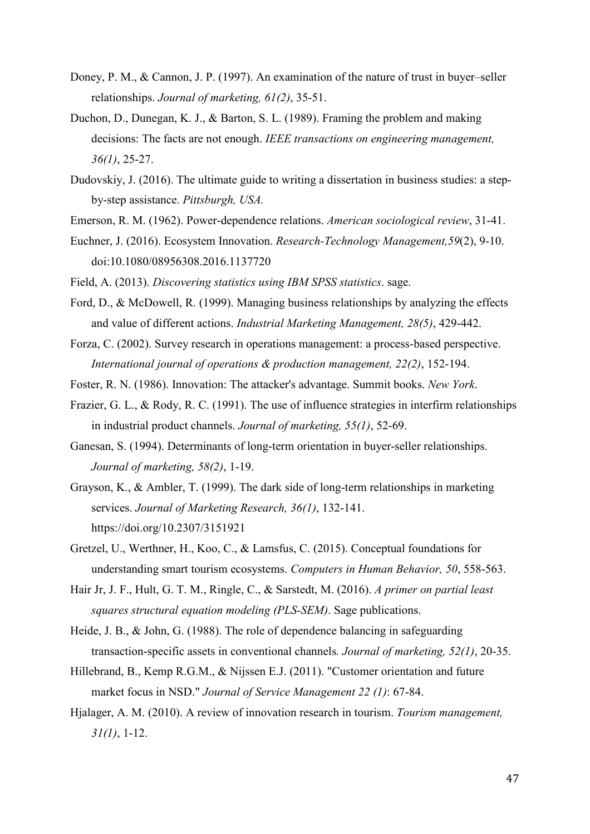- Doney, P. M., & Cannon, J. P. (1997). An examination of the nature of trust in buyer–seller relationships. *Journal of marketing, 61(2)*, 35-51.
- Duchon, D., Dunegan, K. J., & Barton, S. L. (1989). Framing the problem and making decisions: The facts are not enough. *IEEE transactions on engineering management, 36(1)*, 25-27.
- Dudovskiy, J. (2016). The ultimate guide to writing a dissertation in business studies: a stepby-step assistance. *Pittsburgh, USA.*
- Emerson, R. M. (1962). Power-dependence relations. *American sociological review*, 31-41.
- Euchner, J. (2016). Ecosystem Innovation. *Research-Technology Management,59*(2), 9-10. doi:10.1080/08956308.2016.1137720
- Field, A. (2013). *Discovering statistics using IBM SPSS statistics*. sage.
- Ford, D., & McDowell, R. (1999). Managing business relationships by analyzing the effects and value of different actions. *Industrial Marketing Management, 28(5)*, 429-442.
- Forza, C. (2002). Survey research in operations management: a process-based perspective. *International journal of operations & production management, 22(2)*, 152-194.
- Foster, R. N. (1986). Innovation: The attacker's advantage. Summit books. *New York*.
- Frazier, G. L., & Rody, R. C. (1991). The use of influence strategies in interfirm relationships in industrial product channels. *Journal of marketing, 55(1)*, 52-69.
- Ganesan, S. (1994). Determinants of long-term orientation in buyer-seller relationships. *Journal of marketing, 58(2)*, 1-19.
- Grayson, K., & Ambler, T. (1999). The dark side of long-term relationships in marketing services. *Journal of Marketing Research, 36(1)*, 132-141. https://doi.org/10.2307/3151921
- Gretzel, U., Werthner, H., Koo, C., & Lamsfus, C. (2015). Conceptual foundations for understanding smart tourism ecosystems. *Computers in Human Behavior, 50*, 558-563.
- Hair Jr, J. F., Hult, G. T. M., Ringle, C., & Sarstedt, M. (2016). *A primer on partial least squares structural equation modeling (PLS-SEM)*. Sage publications.
- Heide, J. B., & John, G. (1988). The role of dependence balancing in safeguarding transaction-specific assets in conventional channels*. Journal of marketing, 52(1)*, 20-35.
- Hillebrand, B., Kemp R.G.M., & Nijssen E.J. (2011). "Customer orientation and future market focus in NSD." *Journal of Service Management 22 (1)*: 67-84.
- Hjalager, A. M. (2010). A review of innovation research in tourism. *Tourism management, 31(1)*, 1-12.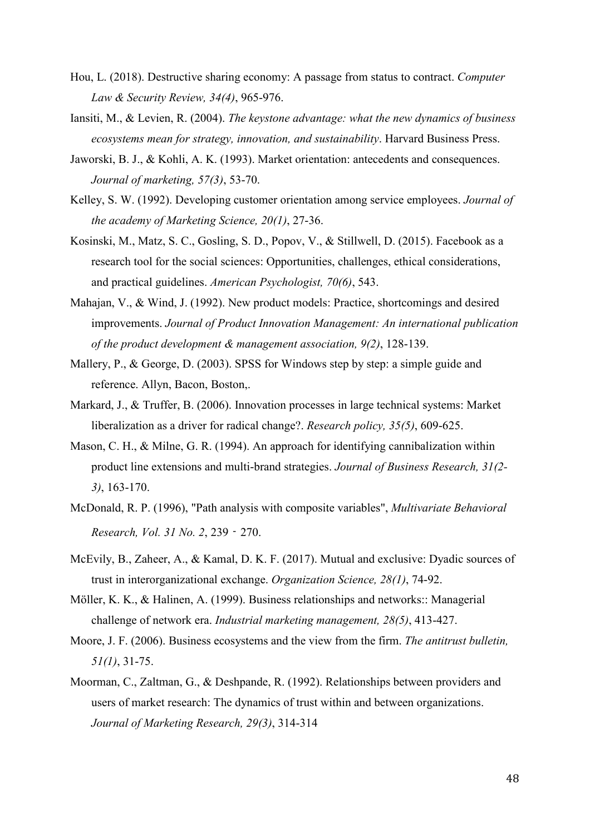- Hou, L. (2018). Destructive sharing economy: A passage from status to contract. *Computer Law & Security Review, 34(4)*, 965-976.
- Iansiti, M., & Levien, R. (2004). *The keystone advantage: what the new dynamics of business ecosystems mean for strategy, innovation, and sustainability*. Harvard Business Press.
- Jaworski, B. J., & Kohli, A. K. (1993). Market orientation: antecedents and consequences. *Journal of marketing, 57(3)*, 53-70.
- Kelley, S. W. (1992). Developing customer orientation among service employees. *Journal of the academy of Marketing Science, 20(1)*, 27-36.
- Kosinski, M., Matz, S. C., Gosling, S. D., Popov, V., & Stillwell, D. (2015). Facebook as a research tool for the social sciences: Opportunities, challenges, ethical considerations, and practical guidelines. *American Psychologist, 70(6)*, 543.
- Mahajan, V., & Wind, J. (1992). New product models: Practice, shortcomings and desired improvements. *Journal of Product Innovation Management: An international publication of the product development & management association, 9(2)*, 128-139.
- Mallery, P., & George, D. (2003). SPSS for Windows step by step: a simple guide and reference. Allyn, Bacon, Boston,.
- Markard, J., & Truffer, B. (2006). Innovation processes in large technical systems: Market liberalization as a driver for radical change?. *Research policy, 35(5)*, 609-625.
- Mason, C. H., & Milne, G. R. (1994). An approach for identifying cannibalization within product line extensions and multi-brand strategies. *Journal of Business Research, 31(2- 3)*, 163-170.
- McDonald, R. P. (1996), "Path analysis with composite variables", *Multivariate Behavioral Research, Vol. 31 No. 2*, 239‐270.
- McEvily, B., Zaheer, A., & Kamal, D. K. F. (2017). Mutual and exclusive: Dyadic sources of trust in interorganizational exchange. *Organization Science, 28(1)*, 74-92.
- Möller, K. K., & Halinen, A. (1999). Business relationships and networks:: Managerial challenge of network era. *Industrial marketing management, 28(5)*, 413-427.
- Moore, J. F. (2006). Business ecosystems and the view from the firm. *The antitrust bulletin, 51(1)*, 31-75.
- Moorman, C., Zaltman, G., & Deshpande, R. (1992). Relationships between providers and users of market research: The dynamics of trust within and between organizations. *Journal of Marketing Research, 29(3)*, 314-314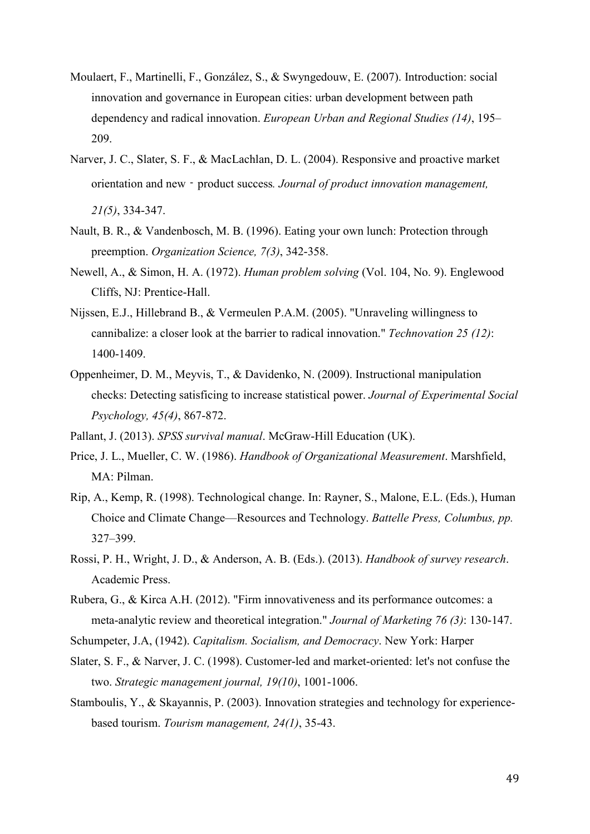- Moulaert, F., Martinelli, F., González, S., & Swyngedouw, E. (2007). Introduction: social innovation and governance in European cities: urban development between path dependency and radical innovation. *European Urban and Regional Studies (14)*, 195– 209.
- Narver, J. C., Slater, S. F., & MacLachlan, D. L. (2004). Responsive and proactive market orientation and new‐product success*. Journal of product innovation management, 21(5)*, 334-347.
- Nault, B. R., & Vandenbosch, M. B. (1996). Eating your own lunch: Protection through preemption. *Organization Science, 7(3)*, 342-358.
- Newell, A., & Simon, H. A. (1972). *Human problem solving* (Vol. 104, No. 9). Englewood Cliffs, NJ: Prentice-Hall.
- Nijssen, E.J., Hillebrand B., & Vermeulen P.A.M. (2005). "Unraveling willingness to cannibalize: a closer look at the barrier to radical innovation." *Technovation 25 (12)*: 1400-1409.
- Oppenheimer, D. M., Meyvis, T., & Davidenko, N. (2009). Instructional manipulation checks: Detecting satisficing to increase statistical power. *Journal of Experimental Social Psychology, 45(4)*, 867-872.
- Pallant, J. (2013). *SPSS survival manual*. McGraw-Hill Education (UK).
- Price, J. L., Mueller, C. W. (1986). *Handbook of Organizational Measurement*. Marshfield, MA: Pilman.
- Rip, A., Kemp, R. (1998). Technological change. In: Rayner, S., Malone, E.L. (Eds.), Human Choice and Climate Change—Resources and Technology. *Battelle Press, Columbus, pp.* 327–399.
- Rossi, P. H., Wright, J. D., & Anderson, A. B. (Eds.). (2013). *Handbook of survey research*. Academic Press.
- Rubera, G., & Kirca A.H. (2012). "Firm innovativeness and its performance outcomes: a meta-analytic review and theoretical integration." *Journal of Marketing 76 (3)*: 130-147.
- Schumpeter, J.A, (1942). *Capitalism. Socialism, and Democracy*. New York: Harper
- Slater, S. F., & Narver, J. C. (1998). Customer-led and market-oriented: let's not confuse the two. *Strategic management journal, 19(10)*, 1001-1006.
- Stamboulis, Y., & Skayannis, P. (2003). Innovation strategies and technology for experiencebased tourism. *Tourism management, 24(1)*, 35-43.